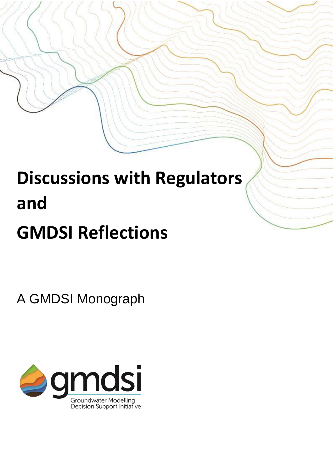# **Discussions with Regulators and GMDSI Reflections**

A GMDSI Monograph

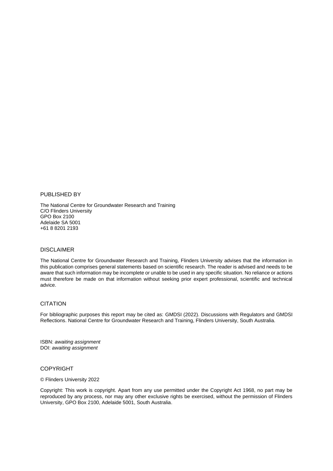PUBLISHED BY

The National Centre for Groundwater Research and Training C/O Flinders University GPO Box 2100 Adelaide SA 5001 +61 8 8201 2193

#### DISCLAIMER

The National Centre for Groundwater Research and Training, Flinders University advises that the information in this publication comprises general statements based on scientific research. The reader is advised and needs to be aware that such information may be incomplete or unable to be used in any specific situation. No reliance or actions must therefore be made on that information without seeking prior expert professional, scientific and technical advice.

#### **CITATION**

For bibliographic purposes this report may be cited as: GMDSI (2022). Discussions with Regulators and GMDSI Reflections. National Centre for Groundwater Research and Training, Flinders University, South Australia.

ISBN: *awaiting assignment* DOI: *awaiting assignment*

#### COPYRIGHT

© Flinders University 2022

Copyright: This work is copyright. Apart from any use permitted under the Copyright Act 1968, no part may be reproduced by any process, nor may any other exclusive rights be exercised, without the permission of Flinders University, GPO Box 2100, Adelaide 5001, South Australia.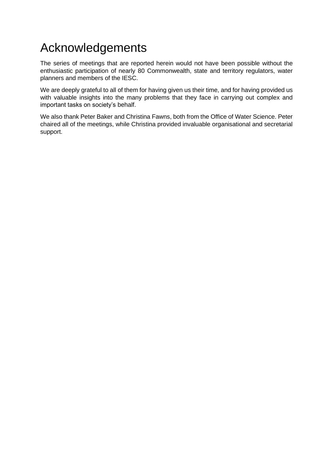### Acknowledgements

The series of meetings that are reported herein would not have been possible without the enthusiastic participation of nearly 80 Commonwealth, state and territory regulators, water planners and members of the IESC.

We are deeply grateful to all of them for having given us their time, and for having provided us with valuable insights into the many problems that they face in carrying out complex and important tasks on society's behalf.

We also thank Peter Baker and Christina Fawns, both from the Office of Water Science. Peter chaired all of the meetings, while Christina provided invaluable organisational and secretarial support.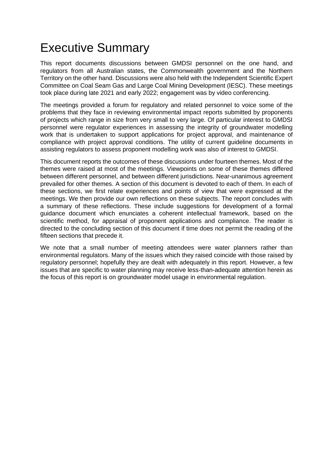### Executive Summary

This report documents discussions between GMDSI personnel on the one hand, and regulators from all Australian states, the Commonwealth government and the Northern Territory on the other hand. Discussions were also held with the Independent Scientific Expert Committee on Coal Seam Gas and Large Coal Mining Development (IESC). These meetings took place during late 2021 and early 2022; engagement was by video conferencing.

The meetings provided a forum for regulatory and related personnel to voice some of the problems that they face in reviewing environmental impact reports submitted by proponents of projects which range in size from very small to very large. Of particular interest to GMDSI personnel were regulator experiences in assessing the integrity of groundwater modelling work that is undertaken to support applications for project approval, and maintenance of compliance with project approval conditions. The utility of current guideline documents in assisting regulators to assess proponent modelling work was also of interest to GMDSI.

This document reports the outcomes of these discussions under fourteen themes. Most of the themes were raised at most of the meetings. Viewpoints on some of these themes differed between different personnel, and between different jurisdictions. Near-unanimous agreement prevailed for other themes. A section of this document is devoted to each of them. In each of these sections, we first relate experiences and points of view that were expressed at the meetings. We then provide our own reflections on these subjects. The report concludes with a summary of these reflections. These include suggestions for development of a formal guidance document which enunciates a coherent intellectual framework, based on the scientific method, for appraisal of proponent applications and compliance. The reader is directed to the concluding section of this document if time does not permit the reading of the fifteen sections that precede it.

We note that a small number of meeting attendees were water planners rather than environmental regulators. Many of the issues which they raised coincide with those raised by regulatory personnel; hopefully they are dealt with adequately in this report. However, a few issues that are specific to water planning may receive less-than-adequate attention herein as the focus of this report is on groundwater model usage in environmental regulation.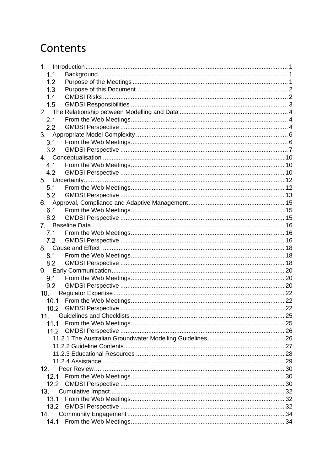### Contents

| 1.   |  |
|------|--|
| 1.1  |  |
| 1.2  |  |
| 1.3  |  |
| 1.4  |  |
| 1.5  |  |
| 2.   |  |
| 2.1  |  |
| 2.2  |  |
|      |  |
| 3.1  |  |
| 3.2  |  |
|      |  |
| 4.1  |  |
| 4.2  |  |
|      |  |
| 5.1  |  |
| 5.2  |  |
|      |  |
| 6.1  |  |
| 6.2  |  |
| 7.   |  |
| 7.1  |  |
| 7.2  |  |
|      |  |
| 8.1  |  |
| 8.2  |  |
|      |  |
| 9.1  |  |
| 9.2  |  |
| 10.  |  |
| 10.1 |  |
| 10.2 |  |
| 11.  |  |
| 11.1 |  |
|      |  |
|      |  |
|      |  |
|      |  |
|      |  |
| 12.  |  |
| 12.1 |  |
| 12.2 |  |
| 13.  |  |
| 13.1 |  |
| 13.2 |  |
| 14.  |  |
| 14.1 |  |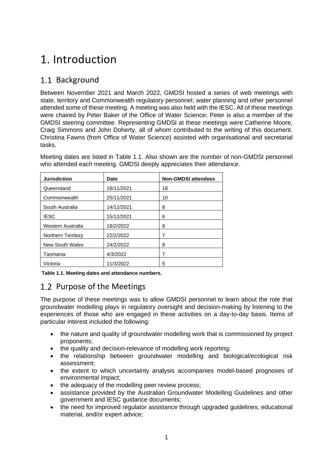### <span id="page-6-0"></span>Introduction

### <span id="page-6-1"></span>1.1 Background

Between November 2021 and March 2022, GMDSI hosted a series of web meetings with state, territory and Commonwealth regulatory personnel; water planning and other personnel attended some of these meeting. A meeting was also held with the IESC. All of these meetings were chaired by Peter Baker of the Office of Water Science; Peter is also a member of the GMDSI steering committee. Representing GMDSI at these meetings were Catherine Moore, Craig Simmons and John Doherty, all of whom contributed to the writing of this document. Christina Fawns (from Office of Water Science) assisted with organisational and secretarial tasks.

Meeting dates are listed in Table 1.1. Also shown are the number of non-GMDSI personnel who attended each meeting. GMDSI deeply appreciates their attendance.

| <b>Jurisdiction</b>       | <b>Date</b> | <b>Non-GMDSI attendees</b> |
|---------------------------|-------------|----------------------------|
| Queensland                | 16/11/2021  | 18                         |
| Commonwealth              | 25/11/2021  | 10                         |
| South Australia           | 14/12/2021  | 8                          |
| <b>IESC</b>               | 15/12/2021  | 6                          |
| Western Australia         | 18/2/2022   | 8                          |
| <b>Northern Territory</b> | 22/2/2022   | 7                          |
| <b>New South Wales</b>    | 24/2/2022   | 8                          |
| Tasmania                  | 4/3/2022    | 7                          |
| Victoria                  | 11/3/2022   | 5                          |

**Table 1.1. Meeting dates and attendance numbers.**

### <span id="page-6-2"></span>1.2 Purpose of the Meetings

The purpose of these meetings was to allow GMDSI personnel to learn about the role that groundwater modelling plays in regulatory oversight and decision-making by listening to the experiences of those who are engaged in these activities on a day-to-day basis. Items of particular interest included the following:

- the nature and quality of groundwater modelling work that is commissioned by project proponents;
- the quality and decision-relevance of modelling work reporting;
- the relationship between groundwater modelling and biological/ecological risk assessment;
- the extent to which uncertainty analysis accompanies model-based prognoses of environmental impact;
- the adequacy of the modelling peer review process;
- assistance provided by the Australian Groundwater Modelling Guidelines and other government and IESC guidance documents;
- the need for improved regulator assistance through upgraded guidelines, educational material, and/or expert advice;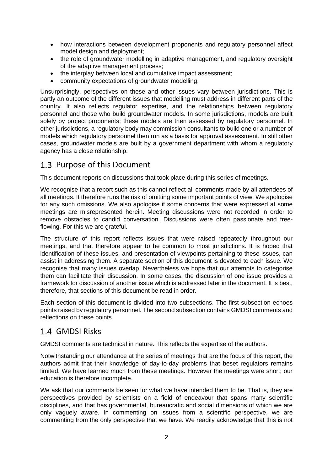- how interactions between development proponents and regulatory personnel affect model design and deployment;
- the role of groundwater modelling in adaptive management, and regulatory oversight of the adaptive management process;
- the interplay between local and cumulative impact assessment:
- community expectations of groundwater modelling.

Unsurprisingly, perspectives on these and other issues vary between jurisdictions. This is partly an outcome of the different issues that modelling must address in different parts of the country. It also reflects regulator expertise, and the relationships between regulatory personnel and those who build groundwater models. In some jurisdictions, models are built solely by project proponents; these models are then assessed by regulatory personnel. In other jurisdictions, a regulatory body may commission consultants to build one or a number of models which regulatory personnel then run as a basis for approval assessment. In still other cases, groundwater models are built by a government department with whom a regulatory agency has a close relationship.

### <span id="page-7-0"></span>1.3 Purpose of this Document

This document reports on discussions that took place during this series of meetings.

We recognise that a report such as this cannot reflect all comments made by all attendees of all meetings. It therefore runs the risk of omitting some important points of view. We apologise for any such omissions. We also apologise if some concerns that were expressed at some meetings are misrepresented herein. Meeting discussions were not recorded in order to remove obstacles to candid conversation. Discussions were often passionate and freeflowing. For this we are grateful.

The structure of this report reflects issues that were raised repeatedly throughout our meetings, and that therefore appear to be common to most jurisdictions. It is hoped that identification of these issues, and presentation of viewpoints pertaining to these issues, can assist in addressing them. A separate section of this document is devoted to each issue. We recognise that many issues overlap. Nevertheless we hope that our attempts to categorise them can facilitate their discussion. In some cases, the discussion of one issue provides a framework for discussion of another issue which is addressed later in the document. It is best, therefore, that sections of this document be read in order.

Each section of this document is divided into two subsections. The first subsection echoes points raised by regulatory personnel. The second subsection contains GMDSI comments and reflections on these points.

#### <span id="page-7-1"></span>GMDSI Risks

GMDSI comments are technical in nature. This reflects the expertise of the authors.

Notwithstanding our attendance at the series of meetings that are the focus of this report, the authors admit that their knowledge of day-to-day problems that beset regulators remains limited. We have learned much from these meetings. However the meetings were short; our education is therefore incomplete.

We ask that our comments be seen for what we have intended them to be. That is, they are perspectives provided by scientists on a field of endeavour that spans many scientific disciplines, and that has governmental, bureaucratic and social dimensions of which we are only vaguely aware. In commenting on issues from a scientific perspective, we are commenting from the only perspective that we have. We readily acknowledge that this is not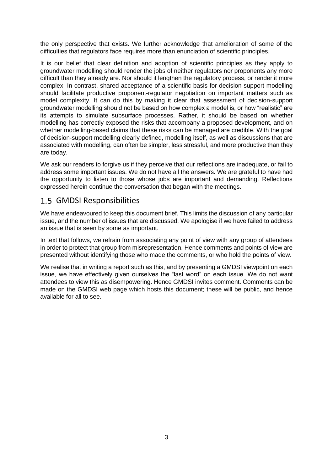the only perspective that exists. We further acknowledge that amelioration of some of the difficulties that regulators face requires more than enunciation of scientific principles.

It is our belief that clear definition and adoption of scientific principles as they apply to groundwater modelling should render the jobs of neither regulators nor proponents any more difficult than they already are. Nor should it lengthen the regulatory process, or render it more complex. In contrast, shared acceptance of a scientific basis for decision-support modelling should facilitate productive proponent-regulator negotiation on important matters such as model complexity. It can do this by making it clear that assessment of decision-support groundwater modelling should not be based on how complex a model is, or how "realistic" are its attempts to simulate subsurface processes. Rather, it should be based on whether modelling has correctly exposed the risks that accompany a proposed development, and on whether modelling-based claims that these risks can be managed are credible. With the goal of decision-support modelling clearly defined, modelling itself, as well as discussions that are associated with modelling, can often be simpler, less stressful, and more productive than they are today.

We ask our readers to forgive us if they perceive that our reflections are inadequate, or fail to address some important issues. We do not have all the answers. We are grateful to have had the opportunity to listen to those whose jobs are important and demanding. Reflections expressed herein continue the conversation that began with the meetings.

### <span id="page-8-0"></span>GMDSI Responsibilities

We have endeavoured to keep this document brief. This limits the discussion of any particular issue, and the number of issues that are discussed. We apologise if we have failed to address an issue that is seen by some as important.

In text that follows, we refrain from associating any point of view with any group of attendees in order to protect that group from misrepresentation. Hence comments and points of view are presented without identifying those who made the comments, or who hold the points of view.

We realise that in writing a report such as this, and by presenting a GMDSI viewpoint on each issue, we have effectively given ourselves the "last word" on each issue. We do not want attendees to view this as disempowering. Hence GMDSI invites comment. Comments can be made on the GMDSI web page which hosts this document; these will be public, and hence available for all to see.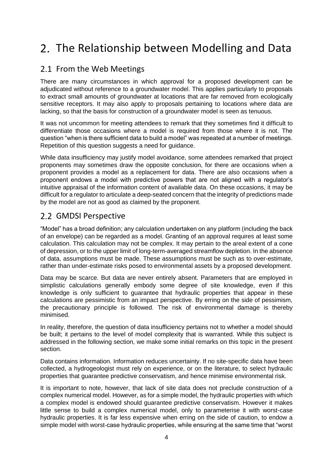### <span id="page-9-0"></span>2. The Relationship between Modelling and Data

### <span id="page-9-1"></span>2.1 From the Web Meetings

There are many circumstances in which approval for a proposed development can be adjudicated without reference to a groundwater model. This applies particularly to proposals to extract small amounts of groundwater at locations that are far removed from ecologically sensitive receptors. It may also apply to proposals pertaining to locations where data are lacking, so that the basis for construction of a groundwater model is seen as tenuous.

It was not uncommon for meeting attendees to remark that they sometimes find it difficult to differentiate those occasions where a model is required from those where it is not. The question "when is there sufficient data to build a model" was repeated at a number of meetings. Repetition of this question suggests a need for guidance.

While data insufficiency may justify model avoidance, some attendees remarked that project proponents may sometimes draw the opposite conclusion, for there are occasions when a proponent provides a model as a replacement for data. There are also occasions when a proponent endows a model with predictive powers that are not aligned with a regulator's intuitive appraisal of the information content of available data. On these occasions, it may be difficult for a regulator to articulate a deep-seated concern that the integrity of predictions made by the model are not as good as claimed by the proponent.

### <span id="page-9-2"></span>2.2 GMDSI Perspective

"Model" has a broad definition; any calculation undertaken on any platform (including the back of an envelope) can be regarded as a model. Granting of an approval requires at least some calculation. This calculation may not be complex. It may pertain to the areal extent of a cone of depression, or to the upper limit of long-term-averaged streamflow depletion. In the absence of data, assumptions must be made. These assumptions must be such as to over-estimate, rather than under-estimate risks posed to environmental assets by a proposed development.

Data may be scarce. But data are never entirely absent. Parameters that are employed in simplistic calculations generally embody some degree of site knowledge, even if this knowledge is only sufficient to guarantee that hydraulic properties that appear in these calculations are pessimistic from an impact perspective. By erring on the side of pessimism, the precautionary principle is followed. The risk of environmental damage is thereby minimised.

In reality, therefore, the question of data insufficiency pertains not to whether a model should be built; it pertains to the level of model complexity that is warranted. While this subject is addressed in the following section, we make some initial remarks on this topic in the present section.

Data contains information. Information reduces uncertainty. If no site-specific data have been collected, a hydrogeologist must rely on experience, or on the literature, to select hydraulic properties that guarantee predictive conservatism, and hence minimise environmental risk.

It is important to note, however, that lack of site data does not preclude construction of a complex numerical model. However, as for a simple model, the hydraulic properties with which a complex model is endowed should guarantee predictive conservatism. However it makes little sense to build a complex numerical model, only to parameterise it with worst-case hydraulic properties. It is far less expensive when erring on the side of caution, to endow a simple model with worst-case hydraulic properties, while ensuring at the same time that "worst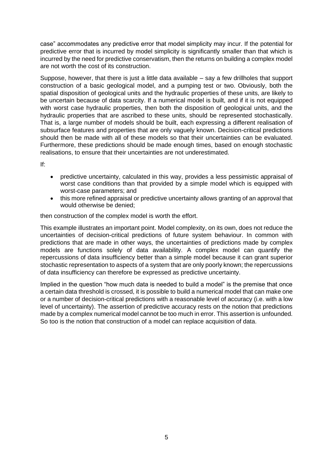case" accommodates any predictive error that model simplicity may incur. If the potential for predictive error that is incurred by model simplicity is significantly smaller than that which is incurred by the need for predictive conservatism, then the returns on building a complex model are not worth the cost of its construction.

Suppose, however, that there is just a little data available  $-$  say a few drillholes that support construction of a basic geological model, and a pumping test or two. Obviously, both the spatial disposition of geological units and the hydraulic properties of these units, are likely to be uncertain because of data scarcity. If a numerical model is built, and if it is not equipped with worst case hydraulic properties, then both the disposition of geological units, and the hydraulic properties that are ascribed to these units, should be represented stochastically. That is, a large number of models should be built, each expressing a different realisation of subsurface features and properties that are only vaguely known. Decision-critical predictions should then be made with all of these models so that their uncertainties can be evaluated. Furthermore, these predictions should be made enough times, based on enough stochastic realisations, to ensure that their uncertainties are not underestimated.

If:

- predictive uncertainty, calculated in this way, provides a less pessimistic appraisal of worst case conditions than that provided by a simple model which is equipped with worst-case parameters; and
- this more refined appraisal or predictive uncertainty allows granting of an approval that would otherwise be denied;

then construction of the complex model is worth the effort.

This example illustrates an important point. Model complexity, on its own, does not reduce the uncertainties of decision-critical predictions of future system behaviour. In common with predictions that are made in other ways, the uncertainties of predictions made by complex models are functions solely of data availability. A complex model can quantify the repercussions of data insufficiency better than a simple model because it can grant superior stochastic representation to aspects of a system that are only poorly known; the repercussions of data insufficiency can therefore be expressed as predictive uncertainty.

Implied in the question "how much data is needed to build a model" is the premise that once a certain data threshold is crossed, it is possible to build a numerical model that can make one or a number of decision-critical predictions with a reasonable level of accuracy (i.e. with a low level of uncertainty). The assertion of predictive accuracy rests on the notion that predictions made by a complex numerical model cannot be too much in error. This assertion is unfounded. So too is the notion that construction of a model can replace acquisition of data.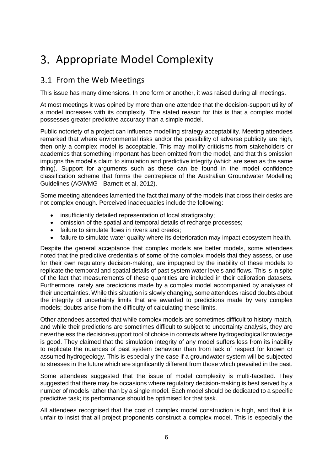### <span id="page-11-0"></span>3. Appropriate Model Complexity

#### <span id="page-11-1"></span>3.1 From the Web Meetings

This issue has many dimensions. In one form or another, it was raised during all meetings.

At most meetings it was opined by more than one attendee that the decision-support utility of a model increases with its complexity. The stated reason for this is that a complex model possesses greater predictive accuracy than a simple model.

Public notoriety of a project can influence modelling strategy acceptability. Meeting attendees remarked that where environmental risks and/or the possibility of adverse publicity are high, then only a complex model is acceptable. This may mollify criticisms from stakeholders or academics that something important has been omitted from the model, and that this omission impugns the model's claim to simulation and predictive integrity (which are seen as the same thing). Support for arguments such as these can be found in the model confidence classification scheme that forms the centrepiece of the Australian Groundwater Modelling Guidelines (AGWMG - Barnett et al, 2012).

Some meeting attendees lamented the fact that many of the models that cross their desks are not complex enough. Perceived inadequacies include the following:

- insufficiently detailed representation of local stratigraphy;
- omission of the spatial and temporal details of recharge processes;
- failure to simulate flows in rivers and creeks:
- failure to simulate water quality where its deterioration may impact ecosystem health.

Despite the general acceptance that complex models are better models, some attendees noted that the predictive credentials of some of the complex models that they assess, or use for their own regulatory decision-making, are impugned by the inability of these models to replicate the temporal and spatial details of past system water levels and flows. This is in spite of the fact that measurements of these quantities are included in their calibration datasets. Furthermore, rarely are predictions made by a complex model accompanied by analyses of their uncertainties. While this situation is slowly changing, some attendees raised doubts about the integrity of uncertainty limits that are awarded to predictions made by very complex models; doubts arise from the difficulty of calculating these limits.

Other attendees asserted that while complex models are sometimes difficult to history-match, and while their predictions are sometimes difficult to subject to uncertainty analysis, they are nevertheless the decision-support tool of choice in contexts where hydrogeological knowledge is good. They claimed that the simulation integrity of any model suffers less from its inability to replicate the nuances of past system behaviour than from lack of respect for known or assumed hydrogeology. This is especially the case if a groundwater system will be subjected to stresses in the future which are significantly different from those which prevailed in the past.

Some attendees suggested that the issue of model complexity is multi-facetted. They suggested that there may be occasions where regulatory decision-making is best served by a number of models rather than by a single model. Each model should be dedicated to a specific predictive task; its performance should be optimised for that task.

All attendees recognised that the cost of complex model construction is high, and that it is unfair to insist that all project proponents construct a complex model. This is especially the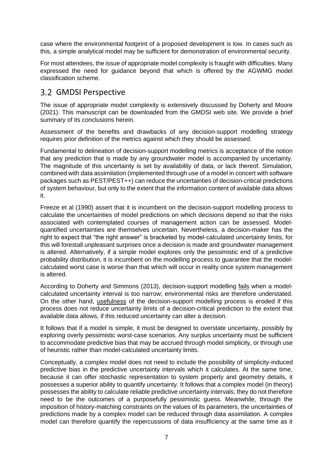case where the environmental footprint of a proposed development is low. In cases such as this, a simple analytical model may be sufficient for demonstration of environmental security.

For most attendees, the issue of appropriate model complexity is fraught with difficulties. Many expressed the need for guidance beyond that which is offered by the AGWMG model classification scheme.

#### <span id="page-12-0"></span>GMDSI Perspective

The issue of appropriate model complexity is extensively discussed by Doherty and Moore (2021). This manuscript can be downloaded from the GMDSI web site. We provide a brief summary of its conclusions herein.

Assessment of the benefits and drawbacks of any decision-support modelling strategy requires prior definition of the metrics against which they should be assessed.

Fundamental to delineation of decision-support modelling metrics is acceptance of the notion that any prediction that is made by any groundwater model is accompanied by uncertainty. The magnitude of this uncertainty is set by availability of data, or lack thereof. Simulation, combined with data assimilation (implemented through use of a model in concert with software packages such as PEST/PEST++) can reduce the uncertainties of decision-critical predictions of system behaviour, but only to the extent that the information content of available data allows it.

Freeze et al (1990) assert that it is incumbent on the decision-support modelling process to calculate the uncertainties of model predictions on which decisions depend so that the risks associated with contemplated courses of management action can be assessed. Modelquantified uncertainties are themselves uncertain. Nevertheless, a decision-maker has the right to expect that "the right answer" is bracketed by model-calculated uncertainty limits, for this will forestall unpleasant surprises once a decision is made and groundwater management is altered. Alternatively, if a simple model explores only the pessimistic end of a predictive probability distribution, it is incumbent on the modelling process to guarantee that the modelcalculated worst case is worse than that which will occur in reality once system management is altered.

According to Doherty and Simmons (2013), decision-support modelling fails when a modelcalculated uncertainty interval is too narrow; environmental risks are therefore understated. On the other hand, usefulness of the decision-support modelling process is eroded if this process does not reduce uncertainty limits of a decision-critical prediction to the extent that available data allows, if this reduced uncertainty can alter a decision.

It follows that if a model is simple, it must be designed to overstate uncertainty, possibly by exploring overly pessimistic worst-case scenarios. Any surplus uncertainty must be sufficient to accommodate predictive bias that may be accrued through model simplicity, or through use of heuristic rather than model-calculated uncertainty limits.

Conceptually, a complex model does not need to include the possibility of simplicity-induced predictive bias in the predictive uncertainty intervals which it calculates. At the same time, because it can offer stochastic representation to system property and geometry details, it possesses a superior ability to quantify uncertainty. It follows that a complex model (in theory) possesses the ability to calculate reliable predictive uncertainty intervals; they do not therefore need to be the outcomes of a purposefully pessimistic guess. Meanwhile, through the imposition of history-matching constraints on the values of its parameters, the uncertainties of predictions made by a complex model can be reduced through data assimilation. A complex model can therefore quantify the repercussions of data insufficiency at the same time as it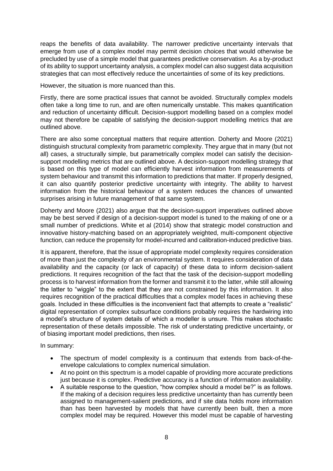reaps the benefits of data availability. The narrower predictive uncertainty intervals that emerge from use of a complex model may permit decision choices that would otherwise be precluded by use of a simple model that guarantees predictive conservatism. As a by-product of its ability to support uncertainty analysis, a complex model can also suggest data acquisition strategies that can most effectively reduce the uncertainties of some of its key predictions.

However, the situation is more nuanced than this.

Firstly, there are some practical issues that cannot be avoided. Structurally complex models often take a long time to run, and are often numerically unstable. This makes quantification and reduction of uncertainty difficult. Decision-support modelling based on a complex model may not therefore be capable of satisfying the decision-support modelling metrics that are outlined above.

There are also some conceptual matters that require attention. Doherty and Moore (2021) distinguish structural complexity from parametric complexity. They argue that in many (but not all) cases, a structurally simple, but parametrically complex model can satisfy the decisionsupport modelling metrics that are outlined above. A decision-support modelling strategy that is based on this type of model can efficiently harvest information from measurements of system behaviour and transmit this information to predictions that matter. If properly designed, it can also quantify posterior predictive uncertainty with integrity. The ability to harvest information from the historical behaviour of a system reduces the chances of unwanted surprises arising in future management of that same system.

Doherty and Moore (2021) also argue that the decision-support imperatives outlined above may be best served if design of a decision-support model is tuned to the making of one or a small number of predictions. White et al (2014) show that strategic model construction and innovative history-matching based on an appropriately weighted, multi-component objective function, can reduce the propensity for model-incurred and calibration-induced predictive bias.

It is apparent, therefore, that the issue of appropriate model complexity requires consideration of more than just the complexity of an environmental system. It requires consideration of data availability and the capacity (or lack of capacity) of these data to inform decision-salient predictions. It requires recognition of the fact that the task of the decision-support modelling process is to harvest information from the former and transmit it to the latter, while still allowing the latter to "wiggle" to the extent that they are not constrained by this information. It also requires recognition of the practical difficulties that a complex model faces in achieving these goals. Included in these difficulties is the inconvenient fact that attempts to create a "realistic" digital representation of complex subsurface conditions probably requires the hardwiring into a model's structure of system details of which a modeller is unsure. This makes stochastic representation of these details impossible. The risk of understating predictive uncertainty, or of biasing important model predictions, then rises.

In summary:

- The spectrum of model complexity is a continuum that extends from back-of-theenvelope calculations to complex numerical simulation.
- At no point on this spectrum is a model capable of providing more accurate predictions just because it is complex. Predictive accuracy is a function of information availability.
- A suitable response to the question, "how complex should a model be?" is as follows. If the making of a decision requires less predictive uncertainty than has currently been assigned to management-salient predictions, and if site data holds more information than has been harvested by models that have currently been built, then a more complex model may be required. However this model must be capable of harvesting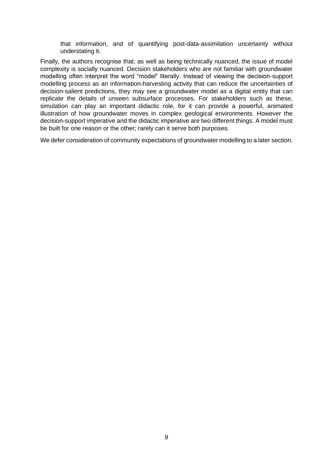that information, and of quantifying post-data-assimilation uncertainty without understating it.

Finally, the authors recognise that, as well as being technically nuanced, the issue of model complexity is socially nuanced. Decision stakeholders who are not familiar with groundwater modelling often interpret the word "model" literally. Instead of viewing the decision-support modelling process as an information-harvesting activity that can reduce the uncertainties of decision-salient predictions, they may see a groundwater model as a digital entity that can replicate the details of unseen subsurface processes. For stakeholders such as these, simulation can play an important didactic role, for it can provide a powerful, animated illustration of how groundwater moves in complex geological environments. However the decision-support imperative and the didactic imperative are two different things. A model must be built for one reason or the other; rarely can it serve both purposes.

We defer consideration of community expectations of groundwater modelling to a later section.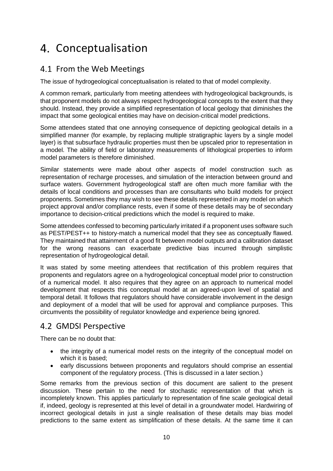### <span id="page-15-0"></span>4. Conceptualisation

### <span id="page-15-1"></span>4.1 From the Web Meetings

The issue of hydrogeological conceptualisation is related to that of model complexity.

A common remark, particularly from meeting attendees with hydrogeological backgrounds, is that proponent models do not always respect hydrogeological concepts to the extent that they should. Instead, they provide a simplified representation of local geology that diminishes the impact that some geological entities may have on decision-critical model predictions.

Some attendees stated that one annoying consequence of depicting geological details in a simplified manner (for example, by replacing multiple stratigraphic layers by a single model layer) is that subsurface hydraulic properties must then be upscaled prior to representation in a model. The ability of field or laboratory measurements of lithological properties to inform model parameters is therefore diminished.

Similar statements were made about other aspects of model construction such as representation of recharge processes, and simulation of the interaction between ground and surface waters. Government hydrogeological staff are often much more familiar with the details of local conditions and processes than are consultants who build models for project proponents. Sometimes they may wish to see these details represented in any model on which project approval and/or compliance rests, even if some of these details may be of secondary importance to decision-critical predictions which the model is required to make.

Some attendees confessed to becoming particularly irritated if a proponent uses software such as PEST/PEST++ to history-match a numerical model that they see as conceptually flawed. They maintained that attainment of a good fit between model outputs and a calibration dataset for the wrong reasons can exacerbate predictive bias incurred through simplistic representation of hydrogeological detail.

It was stated by some meeting attendees that rectification of this problem requires that proponents and regulators agree on a hydrogeological conceptual model prior to construction of a numerical model. It also requires that they agree on an approach to numerical model development that respects this conceptual model at an agreed-upon level of spatial and temporal detail. It follows that regulators should have considerable involvement in the design and deployment of a model that will be used for approval and compliance purposes. This circumvents the possibility of regulator knowledge and experience being ignored.

### <span id="page-15-2"></span>4.2 GMDSI Perspective

There can be no doubt that:

- the integrity of a numerical model rests on the integrity of the conceptual model on which it is based;
- early discussions between proponents and regulators should comprise an essential component of the regulatory process. (This is discussed in a later section.)

Some remarks from the previous section of this document are salient to the present discussion. These pertain to the need for stochastic representation of that which is incompletely known. This applies particularly to representation of fine scale geological detail if, indeed, geology is represented at this level of detail in a groundwater model. Hardwiring of incorrect geological details in just a single realisation of these details may bias model predictions to the same extent as simplification of these details. At the same time it can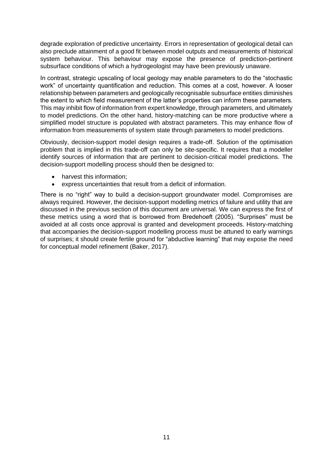degrade exploration of predictive uncertainty. Errors in representation of geological detail can also preclude attainment of a good fit between model outputs and measurements of historical system behaviour. This behaviour may expose the presence of prediction-pertinent subsurface conditions of which a hydrogeologist may have been previously unaware.

In contrast, strategic upscaling of local geology may enable parameters to do the "stochastic work" of uncertainty quantification and reduction. This comes at a cost, however. A looser relationship between parameters and geologically recognisable subsurface entities diminishes the extent to which field measurement of the latter's properties can inform these parameters. This may inhibit flow of information from expert knowledge, through parameters, and ultimately to model predictions. On the other hand, history-matching can be more productive where a simplified model structure is populated with abstract parameters. This may enhance flow of information from measurements of system state through parameters to model predictions.

Obviously, decision-support model design requires a trade-off. Solution of the optimisation problem that is implied in this trade-off can only be site-specific. It requires that a modeller identify sources of information that are pertinent to decision-critical model predictions. The decision-support modelling process should then be designed to:

- harvest this information;
- express uncertainties that result from a deficit of information.

There is no "right" way to build a decision-support groundwater model. Compromises are always required. However, the decision-support modelling metrics of failure and utility that are discussed in the previous section of this document are universal. We can express the first of these metrics using a word that is borrowed from Bredehoeft (2005). "Surprises" must be avoided at all costs once approval is granted and development proceeds. History-matching that accompanies the decision-support modelling process must be attuned to early warnings of surprises; it should create fertile ground for "abductive learning" that may expose the need for conceptual model refinement (Baker, 2017).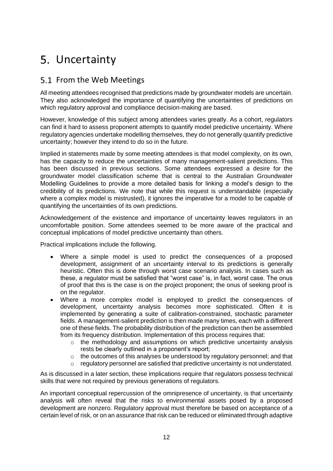### <span id="page-17-0"></span>5. Uncertainty

### <span id="page-17-1"></span>5.1 From the Web Meetings

All meeting attendees recognised that predictions made by groundwater models are uncertain. They also acknowledged the importance of quantifying the uncertainties of predictions on which regulatory approval and compliance decision-making are based.

However, knowledge of this subject among attendees varies greatly. As a cohort, regulators can find it hard to assess proponent attempts to quantify model predictive uncertainty. Where regulatory agencies undertake modelling themselves, they do not generally quantify predictive uncertainty; however they intend to do so in the future.

Implied in statements made by some meeting attendees is that model complexity, on its own, has the capacity to reduce the uncertainties of many management-salient predictions. This has been discussed in previous sections. Some attendees expressed a desire for the groundwater model classification scheme that is central to the Australian Groundwater Modelling Guidelines to provide a more detailed basis for linking a model's design to the credibility of its predictions. We note that while this request is understandable (especially where a complex model is mistrusted), it ignores the imperative for a model to be capable of quantifying the uncertainties of its own predictions.

Acknowledgement of the existence and importance of uncertainty leaves regulators in an uncomfortable position. Some attendees seemed to be more aware of the practical and conceptual implications of model predictive uncertainty than others.

Practical implications include the following.

- Where a simple model is used to predict the consequences of a proposed development, assignment of an uncertainty interval to its predictions is generally heuristic. Often this is done through worst case scenario analysis. In cases such as these, a regulator must be satisfied that "worst case" is, in fact, worst case. The onus of proof that this is the case is on the project proponent; the onus of seeking proof is on the regulator.
- Where a more complex model is employed to predict the consequences of development, uncertainty analysis becomes more sophisticated. Often it is implemented by generating a suite of calibration-constrained, stochastic parameter fields. A management-salient prediction is then made many times, each with a different one of these fields. The probability distribution of the prediction can then be assembled from its frequency distribution. Implementation of this process requires that:
	- o the methodology and assumptions on which predictive uncertainty analysis rests be clearly outlined in a proponent's report;
	- $\circ$  the outcomes of this analyses be understood by regulatory personnel; and that
	- o regulatory personnel are satisfied that predictive uncertainty is not understated.

As is discussed in a later section, these implications require that regulators possess technical skills that were not required by previous generations of regulators.

An important conceptual repercussion of the omnipresence of uncertainty, is that uncertainty analysis will often reveal that the risks to environmental assets posed by a proposed development are nonzero. Regulatory approval must therefore be based on acceptance of a certain level of risk, or on an assurance that risk can be reduced or eliminated through adaptive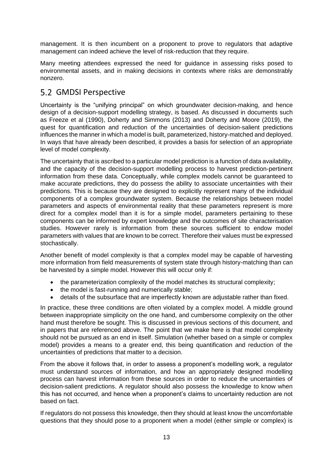management. It is then incumbent on a proponent to prove to regulators that adaptive management can indeed achieve the level of risk-reduction that they require.

Many meeting attendees expressed the need for guidance in assessing risks posed to environmental assets, and in making decisions in contexts where risks are demonstrably nonzero.

#### <span id="page-18-0"></span>5.2 GMDSI Perspective

Uncertainty is the "unifying principal" on which groundwater decision-making, and hence design of a decision-support modelling strategy, is based. As discussed in documents such as Freeze et al (1990), Doherty and Simmons (2013) and Doherty and Moore (2019), the quest for quantification and reduction of the uncertainties of decision-salient predictions influences the manner in which a model is built, parameterized, history-matched and deployed. In ways that have already been described, it provides a basis for selection of an appropriate level of model complexity.

The uncertainty that is ascribed to a particular model prediction is a function of data availability, and the capacity of the decision-support modelling process to harvest prediction-pertinent information from these data. Conceptually, while complex models cannot be guaranteed to make accurate predictions, they do possess the ability to associate uncertainties with their predictions. This is because they are designed to explicitly represent many of the individual components of a complex groundwater system. Because the relationships between model parameters and aspects of environmental reality that these parameters represent is more direct for a complex model than it is for a simple model, parameters pertaining to these components can be informed by expert knowledge and the outcomes of site characterisation studies. However rarely is information from these sources sufficient to endow model parameters with values that are known to be correct. Therefore their values must be expressed stochastically.

Another benefit of model complexity is that a complex model may be capable of harvesting more information from field measurements of system state through history-matching than can be harvested by a simple model. However this will occur only if:

- the parameterization complexity of the model matches its structural complexity;
- the model is fast-running and numerically stable;
- details of the subsurface that are imperfectly known are adjustable rather than fixed.

In practice, these three conditions are often violated by a complex model. A middle ground between inappropriate simplicity on the one hand, and cumbersome complexity on the other hand must therefore be sought. This is discussed in previous sections of this document, and in papers that are referenced above. The point that we make here is that model complexity should not be pursued as an end in itself. Simulation (whether based on a simple or complex model) provides a means to a greater end, this being quantification and reduction of the uncertainties of predictions that matter to a decision.

From the above it follows that, in order to assess a proponent's modelling work, a regulator must understand sources of information, and how an appropriately designed modelling process can harvest information from these sources in order to reduce the uncertainties of decision-salient predictions. A regulator should also possess the knowledge to know when this has not occurred, and hence when a proponent's claims to uncertainty reduction are not based on fact.

If regulators do not possess this knowledge, then they should at least know the uncomfortable questions that they should pose to a proponent when a model (either simple or complex) is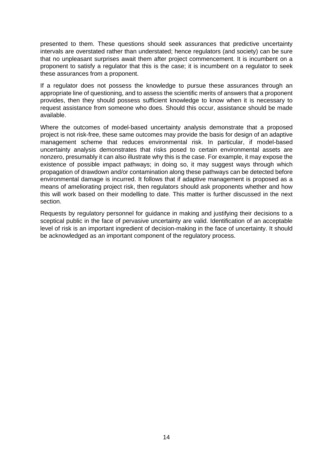presented to them. These questions should seek assurances that predictive uncertainty intervals are overstated rather than understated; hence regulators (and society) can be sure that no unpleasant surprises await them after project commencement. It is incumbent on a proponent to satisfy a regulator that this is the case; it is incumbent on a regulator to seek these assurances from a proponent.

If a regulator does not possess the knowledge to pursue these assurances through an appropriate line of questioning, and to assess the scientific merits of answers that a proponent provides, then they should possess sufficient knowledge to know when it is necessary to request assistance from someone who does. Should this occur, assistance should be made available.

Where the outcomes of model-based uncertainty analysis demonstrate that a proposed project is not risk-free, these same outcomes may provide the basis for design of an adaptive management scheme that reduces environmental risk. In particular, if model-based uncertainty analysis demonstrates that risks posed to certain environmental assets are nonzero, presumably it can also illustrate why this is the case. For example, it may expose the existence of possible impact pathways; in doing so, it may suggest ways through which propagation of drawdown and/or contamination along these pathways can be detected before environmental damage is incurred. It follows that if adaptive management is proposed as a means of ameliorating project risk, then regulators should ask proponents whether and how this will work based on their modelling to date. This matter is further discussed in the next section.

Requests by regulatory personnel for guidance in making and justifying their decisions to a sceptical public in the face of pervasive uncertainty are valid. Identification of an acceptable level of risk is an important ingredient of decision-making in the face of uncertainty. It should be acknowledged as an important component of the regulatory process.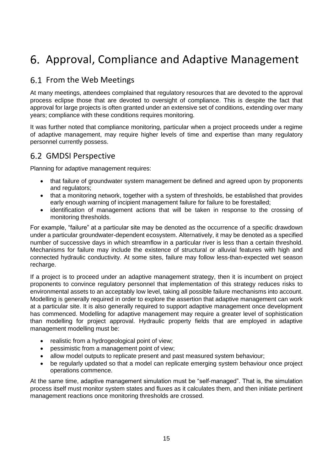### <span id="page-20-0"></span>6. Approval, Compliance and Adaptive Management

### <span id="page-20-1"></span>6.1 From the Web Meetings

At many meetings, attendees complained that regulatory resources that are devoted to the approval process eclipse those that are devoted to oversight of compliance. This is despite the fact that approval for large projects is often granted under an extensive set of conditions, extending over many years; compliance with these conditions requires monitoring.

It was further noted that compliance monitoring, particular when a project proceeds under a regime of adaptive management, may require higher levels of time and expertise than many regulatory personnel currently possess.

#### <span id="page-20-2"></span>6.2 GMDSI Perspective

Planning for adaptive management requires:

- that failure of groundwater system management be defined and agreed upon by proponents and regulators;
- that a monitoring network, together with a system of thresholds, be established that provides early enough warning of incipient management failure for failure to be forestalled;
- identification of management actions that will be taken in response to the crossing of monitoring thresholds.

For example, "failure" at a particular site may be denoted as the occurrence of a specific drawdown under a particular groundwater-dependent ecosystem. Alternatively, it may be denoted as a specified number of successive days in which streamflow in a particular river is less than a certain threshold. Mechanisms for failure may include the existence of structural or alluvial features with high and connected hydraulic conductivity. At some sites, failure may follow less-than-expected wet season recharge.

If a project is to proceed under an adaptive management strategy, then it is incumbent on project proponents to convince regulatory personnel that implementation of this strategy reduces risks to environmental assets to an acceptably low level, taking all possible failure mechanisms into account. Modelling is generally required in order to explore the assertion that adaptive management can work at a particular site. It is also generally required to support adaptive management once development has commenced. Modelling for adaptive management may require a greater level of sophistication than modelling for project approval. Hydraulic property fields that are employed in adaptive management modelling must be:

- realistic from a hydrogeological point of view;
- pessimistic from a management point of view;
- allow model outputs to replicate present and past measured system behaviour;
- be regularly updated so that a model can replicate emerging system behaviour once project operations commence.

At the same time, adaptive management simulation must be "self-managed". That is, the simulation process itself must monitor system states and fluxes as it calculates them, and then initiate pertinent management reactions once monitoring thresholds are crossed.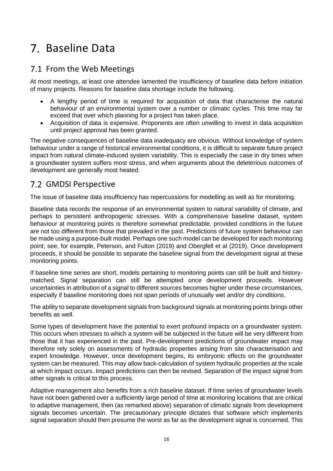### <span id="page-21-0"></span>7. Baseline Data

### <span id="page-21-1"></span>7.1 From the Web Meetings

At most meetings, at least one attendee lamented the insufficiency of baseline data before initiation of many projects. Reasons for baseline data shortage include the following.

- A lengthy period of time is required for acquisition of data that characterise the natural behaviour of an environmental system over a number or climatic cycles. This time may far exceed that over which planning for a project has taken place.
- Acquisition of data is expensive. Proponents are often unwilling to invest in data acquisition until project approval has been granted.

The negative consequences of baseline data inadequacy are obvious. Without knowledge of system behaviour under a range of historical environmental conditions, it is difficult to separate future project impact from natural climate-induced system variability. This is especially the case in dry times when a groundwater system suffers most stress, and when arguments about the deleterious outcomes of development are generally most heated.

### <span id="page-21-2"></span>7.2 GMDSI Perspective

The issue of baseline data insufficiency has repercussions for modelling as well as for monitoring.

Baseline data records the response of an environmental system to natural variability of climate, and perhaps to persistent anthropogenic stresses. With a comprehensive baseline dataset, system behaviour at monitoring points is therefore somewhat predictable, provided conditions in the future are not too different from those that prevailed in the past. Predictions of future system behaviour can be made using a purpose-built model. Perhaps one such model can be developed for each monitoring point; see, for example, Peterson, and Fulton (2019) and Obergfell et al (2019). Once development proceeds, it should be possible to separate the baseline signal from the development signal at these monitoring points.

If baseline time series are short, models pertaining to monitoring points can still be built and historymatched. Signal separation can still be attempted once development proceeds. However uncertainties in attribution of a signal to different sources becomes higher under these circumstances, especially if baseline monitoring does not span periods of unusually wet and/or dry conditions.

The ability to separate development signals from background signals at monitoring points brings other benefits as well.

Some types of development have the potential to exert profound impacts on a groundwater system. This occurs when stresses to which a system will be subjected in the future will be very different from those that it has experienced in the past. Pre-development predictions of groundwater impact may therefore rely solely on assessments of hydraulic properties arising from site characterisation and expert knowledge. However, once development begins, its embryonic effects on the groundwater system can be measured. This may allow back-calculation of system hydraulic properties at the scale at which impact occurs. Impact predictions can then be revised. Separation of the impact signal from other signals is critical to this process.

Adaptive management also benefits from a rich baseline dataset. If time series of groundwater levels have not been gathered over a sufficiently large period of time at monitoring locations that are critical to adaptive management, then (as remarked above) separation of climatic signals from development signals becomes uncertain. The precautionary principle dictates that software which implements signal separation should then presume the worst as far as the development signal is concerned. This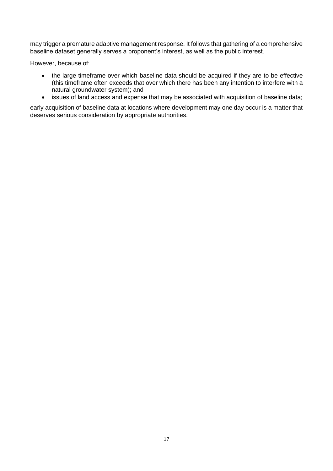may trigger a premature adaptive management response. It follows that gathering of a comprehensive baseline dataset generally serves a proponent's interest, as well as the public interest.

However, because of:

- the large timeframe over which baseline data should be acquired if they are to be effective (this timeframe often exceeds that over which there has been any intention to interfere with a natural groundwater system); and
- issues of land access and expense that may be associated with acquisition of baseline data;

early acquisition of baseline data at locations where development may one day occur is a matter that deserves serious consideration by appropriate authorities.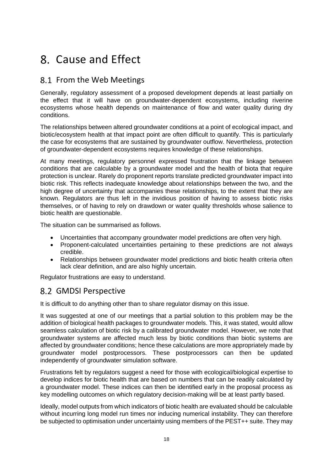### <span id="page-23-0"></span>Cause and Effect

### <span id="page-23-1"></span>8.1 From the Web Meetings

Generally, regulatory assessment of a proposed development depends at least partially on the effect that it will have on groundwater-dependent ecosystems, including riverine ecosystems whose health depends on maintenance of flow and water quality during dry conditions.

The relationships between altered groundwater conditions at a point of ecological impact, and biotic/ecosystem health at that impact point are often difficult to quantify. This is particularly the case for ecosystems that are sustained by groundwater outflow. Nevertheless, protection of groundwater-dependent ecosystems requires knowledge of these relationships.

At many meetings, regulatory personnel expressed frustration that the linkage between conditions that are calculable by a groundwater model and the health of biota that require protection is unclear. Rarely do proponent reports translate predicted groundwater impact into biotic risk. This reflects inadequate knowledge about relationships between the two, and the high degree of uncertainty that accompanies these relationships, to the extent that they are known. Regulators are thus left in the invidious position of having to assess biotic risks themselves, or of having to rely on drawdown or water quality thresholds whose salience to biotic health are questionable.

The situation can be summarised as follows.

- Uncertainties that accompany groundwater model predictions are often very high.
- Proponent-calculated uncertainties pertaining to these predictions are not always credible.
- Relationships between groundwater model predictions and biotic health criteria often lack clear definition, and are also highly uncertain.

Regulator frustrations are easy to understand.

#### <span id="page-23-2"></span>8.2 GMDSI Perspective

It is difficult to do anything other than to share regulator dismay on this issue.

It was suggested at one of our meetings that a partial solution to this problem may be the addition of biological health packages to groundwater models. This, it was stated, would allow seamless calculation of biotic risk by a calibrated groundwater model. However, we note that groundwater systems are affected much less by biotic conditions than biotic systems are affected by groundwater conditions; hence these calculations are more appropriately made by groundwater model postprocessors. These postprocessors can then be updated independently of groundwater simulation software.

Frustrations felt by regulators suggest a need for those with ecological/biological expertise to develop indices for biotic health that are based on numbers that can be readily calculated by a groundwater model. These indices can then be identified early in the proposal process as key modelling outcomes on which regulatory decision-making will be at least partly based.

Ideally, model outputs from which indicators of biotic health are evaluated should be calculable without incurring long model run times nor inducing numerical instability. They can therefore be subjected to optimisation under uncertainty using members of the PEST++ suite. They may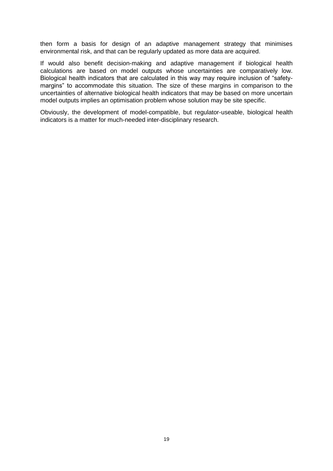then form a basis for design of an adaptive management strategy that minimises environmental risk, and that can be regularly updated as more data are acquired.

If would also benefit decision-making and adaptive management if biological health calculations are based on model outputs whose uncertainties are comparatively low. Biological health indicators that are calculated in this way may require inclusion of "safetymargins" to accommodate this situation. The size of these margins in comparison to the uncertainties of alternative biological health indicators that may be based on more uncertain model outputs implies an optimisation problem whose solution may be site specific.

Obviously, the development of model-compatible, but regulator-useable, biological health indicators is a matter for much-needed inter-disciplinary research.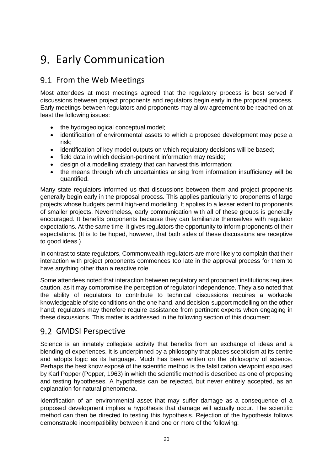### <span id="page-25-0"></span>9. Early Communication

### <span id="page-25-1"></span>9.1 From the Web Meetings

Most attendees at most meetings agreed that the regulatory process is best served if discussions between project proponents and regulators begin early in the proposal process. Early meetings between regulators and proponents may allow agreement to be reached on at least the following issues:

- the hydrogeological conceptual model;
- identification of environmental assets to which a proposed development may pose a risk;
- identification of key model outputs on which regulatory decisions will be based;
- field data in which decision-pertinent information may reside:
- design of a modelling strategy that can harvest this information:
- the means through which uncertainties arising from information insufficiency will be quantified.

Many state regulators informed us that discussions between them and project proponents generally begin early in the proposal process. This applies particularly to proponents of large projects whose budgets permit high-end modelling. It applies to a lesser extent to proponents of smaller projects. Nevertheless, early communication with all of these groups is generally encouraged. It benefits proponents because they can familiarize themselves with regulator expectations. At the same time, it gives regulators the opportunity to inform proponents of their expectations. (It is to be hoped, however, that both sides of these discussions are receptive to good ideas.)

In contrast to state regulators, Commonwealth regulators are more likely to complain that their interaction with project proponents commences too late in the approval process for them to have anything other than a reactive role.

Some attendees noted that interaction between regulatory and proponent institutions requires caution, as it may compromise the perception of regulator independence. They also noted that the ability of regulators to contribute to technical discussions requires a workable knowledgeable of site conditions on the one hand, and decision-support modelling on the other hand; regulators may therefore require assistance from pertinent experts when engaging in these discussions. This matter is addressed in the following section of this document.

### <span id="page-25-2"></span>9.2 GMDSI Perspective

Science is an innately collegiate activity that benefits from an exchange of ideas and a blending of experiences. It is underpinned by a philosophy that places scepticism at its centre and adopts logic as its language. Much has been written on the philosophy of science. Perhaps the best know exposé of the scientific method is the falsification viewpoint espoused by Karl Popper (Popper, 1963) in which the scientific method is described as one of proposing and testing hypotheses. A hypothesis can be rejected, but never entirely accepted, as an explanation for natural phenomena.

Identification of an environmental asset that may suffer damage as a consequence of a proposed development implies a hypothesis that damage will actually occur. The scientific method can then be directed to testing this hypothesis. Rejection of the hypothesis follows demonstrable incompatibility between it and one or more of the following: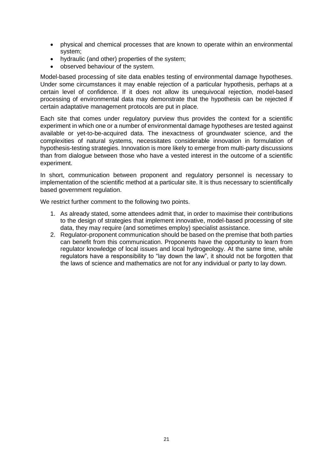- physical and chemical processes that are known to operate within an environmental system;
- hydraulic (and other) properties of the system;
- observed behaviour of the system.

Model-based processing of site data enables testing of environmental damage hypotheses. Under some circumstances it may enable rejection of a particular hypothesis, perhaps at a certain level of confidence. If it does not allow its unequivocal rejection, model-based processing of environmental data may demonstrate that the hypothesis can be rejected if certain adaptative management protocols are put in place.

Each site that comes under regulatory purview thus provides the context for a scientific experiment in which one or a number of environmental damage hypotheses are tested against available or yet-to-be-acquired data. The inexactness of groundwater science, and the complexities of natural systems, necessitates considerable innovation in formulation of hypothesis-testing strategies. Innovation is more likely to emerge from multi-party discussions than from dialogue between those who have a vested interest in the outcome of a scientific experiment.

In short, communication between proponent and regulatory personnel is necessary to implementation of the scientific method at a particular site. It is thus necessary to scientifically based government regulation.

We restrict further comment to the following two points.

- 1. As already stated, some attendees admit that, in order to maximise their contributions to the design of strategies that implement innovative, model-based processing of site data, they may require (and sometimes employ) specialist assistance.
- 2. Regulator-proponent communication should be based on the premise that both parties can benefit from this communication. Proponents have the opportunity to learn from regulator knowledge of local issues and local hydrogeology. At the same time, while regulators have a responsibility to "lay down the law", it should not be forgotten that the laws of science and mathematics are not for any individual or party to lay down.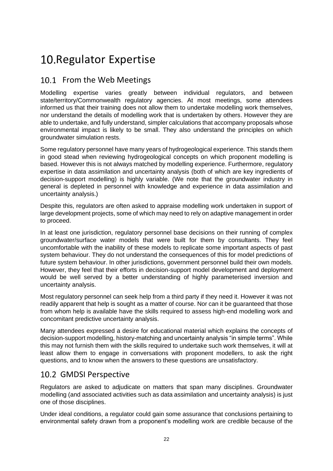### <span id="page-27-0"></span>10. Regulator Expertise

### <span id="page-27-1"></span>10.1 From the Web Meetings

Modelling expertise varies greatly between individual regulators, and between state/territory/Commonwealth regulatory agencies. At most meetings, some attendees informed us that their training does not allow them to undertake modelling work themselves, nor understand the details of modelling work that is undertaken by others. However they are able to undertake, and fully understand, simpler calculations that accompany proposals whose environmental impact is likely to be small. They also understand the principles on which groundwater simulation rests.

Some regulatory personnel have many years of hydrogeological experience. This stands them in good stead when reviewing hydrogeological concepts on which proponent modelling is based. However this is not always matched by modelling experience. Furthermore, regulatory expertise in data assimilation and uncertainty analysis (both of which are key ingredients of decision-support modelling) is highly variable. (We note that the groundwater industry in general is depleted in personnel with knowledge and experience in data assimilation and uncertainty analysis.)

Despite this, regulators are often asked to appraise modelling work undertaken in support of large development projects, some of which may need to rely on adaptive management in order to proceed.

In at least one jurisdiction, regulatory personnel base decisions on their running of complex groundwater/surface water models that were built for them by consultants. They feel uncomfortable with the inability of these models to replicate some important aspects of past system behaviour. They do not understand the consequences of this for model predictions of future system behaviour. In other jurisdictions, government personnel build their own models. However, they feel that their efforts in decision-support model development and deployment would be well served by a better understanding of highly parameterised inversion and uncertainty analysis.

Most regulatory personnel can seek help from a third party if they need it. However it was not readily apparent that help is sought as a matter of course. Nor can it be guaranteed that those from whom help is available have the skills required to assess high-end modelling work and concomitant predictive uncertainty analysis.

Many attendees expressed a desire for educational material which explains the concepts of decision-support modelling, history-matching and uncertainty analysis "in simple terms". While this may not furnish them with the skills required to undertake such work themselves, it will at least allow them to engage in conversations with proponent modellers, to ask the right questions, and to know when the answers to these questions are unsatisfactory.

#### <span id="page-27-2"></span>10.2 GMDSI Perspective

Regulators are asked to adjudicate on matters that span many disciplines. Groundwater modelling (and associated activities such as data assimilation and uncertainty analysis) is just one of those disciplines.

Under ideal conditions, a regulator could gain some assurance that conclusions pertaining to environmental safety drawn from a proponent's modelling work are credible because of the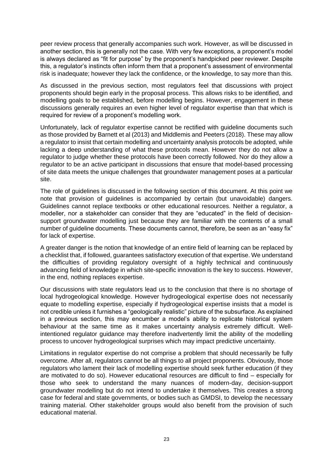peer review process that generally accompanies such work. However, as will be discussed in another section, this is generally not the case. With very few exceptions, a proponent's model is always declared as "fit for purpose" by the proponent's handpicked peer reviewer. Despite this, a regulator's instincts often inform them that a proponent's assessment of environmental risk is inadequate; however they lack the confidence, or the knowledge, to say more than this.

As discussed in the previous section, most regulators feel that discussions with project proponents should begin early in the proposal process. This allows risks to be identified, and modelling goals to be established, before modelling begins. However, engagement in these discussions generally requires an even higher level of regulator expertise than that which is required for review of a proponent's modelling work.

Unfortunately, lack of regulator expertise cannot be rectified with guideline documents such as those provided by Barnett et al (2013) and Middlemis and Peeters (2018). These may allow a regulator to insist that certain modelling and uncertainty analysis protocols be adopted, while lacking a deep understanding of what these protocols mean. However they do not allow a regulator to judge whether these protocols have been correctly followed. Nor do they allow a regulator to be an active participant in discussions that ensure that model-based processing of site data meets the unique challenges that groundwater management poses at a particular site.

The role of guidelines is discussed in the following section of this document. At this point we note that provision of guidelines is accompanied by certain (but unavoidable) dangers. Guidelines cannot replace textbooks or other educational resources. Neither a regulator, a modeller, nor a stakeholder can consider that they are "educated" in the field of decisionsupport groundwater modelling just because they are familiar with the contents of a small number of guideline documents. These documents cannot, therefore, be seen as an "easy fix" for lack of expertise.

A greater danger is the notion that knowledge of an entire field of learning can be replaced by a checklist that, if followed, guarantees satisfactory execution of that expertise. We understand the difficulties of providing regulatory oversight of a highly technical and continuously advancing field of knowledge in which site-specific innovation is the key to success. However, in the end, nothing replaces expertise.

Our discussions with state regulators lead us to the conclusion that there is no shortage of local hydrogeological knowledge. However hydrogeological expertise does not necessarily equate to modelling expertise, especially if hydrogeological expertise insists that a model is not credible unless it furnishes a "geologically realistic" picture of the subsurface. As explained in a previous section, this may encumber a model's ability to replicate historical system behaviour at the same time as it makes uncertainty analysis extremely difficult. Wellintentioned regulator guidance may therefore inadvertently limit the ability of the modelling process to uncover hydrogeological surprises which may impact predictive uncertainty.

Limitations in regulator expertise do not comprise a problem that should necessarily be fully overcome. After all, regulators cannot be all things to all project proponents. Obviously, those regulators who lament their lack of modelling expertise should seek further education (if they are motivated to do so). However educational resources are difficult to find – especially for those who seek to understand the many nuances of modern-day, decision-support groundwater modelling but do not intend to undertake it themselves. This creates a strong case for federal and state governments, or bodies such as GMDSI, to develop the necessary training material. Other stakeholder groups would also benefit from the provision of such educational material.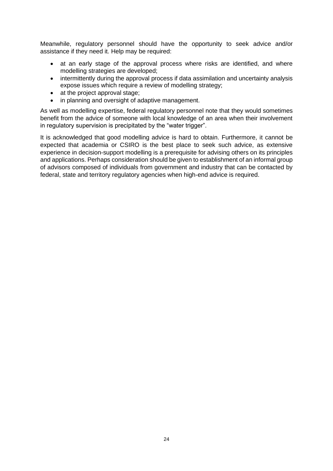Meanwhile, regulatory personnel should have the opportunity to seek advice and/or assistance if they need it. Help may be required:

- at an early stage of the approval process where risks are identified, and where modelling strategies are developed;
- intermittently during the approval process if data assimilation and uncertainty analysis expose issues which require a review of modelling strategy;
- at the project approval stage;
- in planning and oversight of adaptive management.

As well as modelling expertise, federal regulatory personnel note that they would sometimes benefit from the advice of someone with local knowledge of an area when their involvement in regulatory supervision is precipitated by the "water trigger".

It is acknowledged that good modelling advice is hard to obtain. Furthermore, it cannot be expected that academia or CSIRO is the best place to seek such advice, as extensive experience in decision-support modelling is a prerequisite for advising others on its principles and applications. Perhaps consideration should be given to establishment of an informal group of advisors composed of individuals from government and industry that can be contacted by federal, state and territory regulatory agencies when high-end advice is required.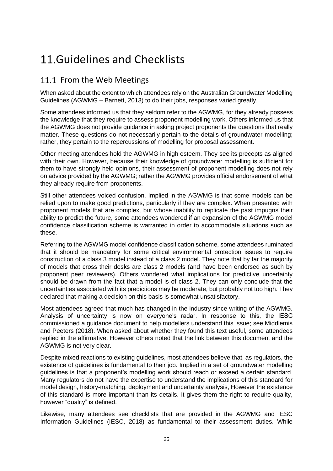### <span id="page-30-0"></span>11. Guidelines and Checklists

### <span id="page-30-1"></span>11.1 From the Web Meetings

When asked about the extent to which attendees rely on the Australian Groundwater Modelling Guidelines (AGWMG – Barnett, 2013) to do their jobs, responses varied greatly.

Some attendees informed us that they seldom refer to the AGWMG, for they already possess the knowledge that they require to assess proponent modelling work. Others informed us that the AGWMG does not provide guidance in asking project proponents the questions that really matter. These questions do not necessarily pertain to the details of groundwater modelling; rather, they pertain to the repercussions of modelling for proposal assessment.

Other meeting attendees hold the AGWMG in high esteem. They see its precepts as aligned with their own. However, because their knowledge of groundwater modelling is sufficient for them to have strongly held opinions, their assessment of proponent modelling does not rely on advice provided by the AGWMG; rather the AGWMG provides official endorsement of what they already require from proponents.

Still other attendees voiced confusion. Implied in the AGWMG is that some models can be relied upon to make good predictions, particularly if they are complex. When presented with proponent models that are complex, but whose inability to replicate the past impugns their ability to predict the future, some attendees wondered if an expansion of the AGWMG model confidence classification scheme is warranted in order to accommodate situations such as these.

Referring to the AGWMG model confidence classification scheme, some attendees ruminated that it should be mandatory for some critical environmental protection issues to require construction of a class 3 model instead of a class 2 model. They note that by far the majority of models that cross their desks are class 2 models (and have been endorsed as such by proponent peer reviewers). Others wondered what implications for predictive uncertainty should be drawn from the fact that a model is of class 2. They can only conclude that the uncertainties associated with its predictions may be moderate, but probably not too high. They declared that making a decision on this basis is somewhat unsatisfactory.

Most attendees agreed that much has changed in the industry since writing of the AGWMG. Analysis of uncertainty is now on everyone's radar. In response to this, the IESC commissioned a guidance document to help modellers understand this issue; see Middlemis and Peeters (2018). When asked about whether they found this text useful, some attendees replied in the affirmative. However others noted that the link between this document and the AGWMG is not very clear.

Despite mixed reactions to existing guidelines, most attendees believe that, as regulators, the existence of guidelines is fundamental to their job. Implied in a set of groundwater modelling guidelines is that a proponent's modelling work should reach or exceed a certain standard. Many regulators do not have the expertise to understand the implications of this standard for model design, history-matching, deployment and uncertainty analysis, However the existence of this standard is more important than its details. It gives them the right to require quality, however "quality" is defined.

Likewise, many attendees see checklists that are provided in the AGWMG and IESC Information Guidelines (IESC, 2018) as fundamental to their assessment duties. While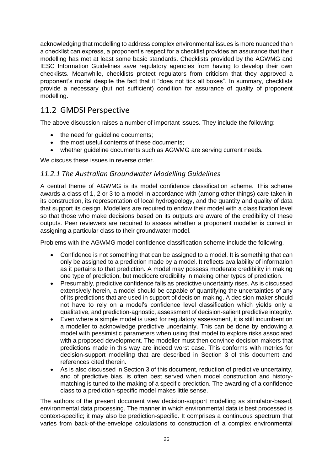acknowledging that modelling to address complex environmental issues is more nuanced than a checklist can express, a proponent's respect for a checklist provides an assurance that their modelling has met at least some basic standards. Checklists provided by the AGWMG and IESC Information Guidelines save regulatory agencies from having to develop their own checklists. Meanwhile, checklists protect regulators from criticism that they approved a proponent's model despite the fact that it "does not tick all boxes". In summary, checklists provide a necessary (but not sufficient) condition for assurance of quality of proponent modelling.

### <span id="page-31-0"></span>11.2 GMDSI Perspective

The above discussion raises a number of important issues. They include the following:

- the need for quideline documents;
- the most useful contents of these documents;
- whether guideline documents such as AGWMG are serving current needs.

We discuss these issues in reverse order.

#### <span id="page-31-1"></span>*11.2.1 The Australian Groundwater Modelling Guidelines*

A central theme of AGWMG is its model confidence classification scheme. This scheme awards a class of 1, 2 or 3 to a model in accordance with (among other things) care taken in its construction, its representation of local hydrogeology, and the quantity and quality of data that support its design. Modellers are required to endow their model with a classification level so that those who make decisions based on its outputs are aware of the credibility of these outputs. Peer reviewers are required to assess whether a proponent modeller is correct in assigning a particular class to their groundwater model.

Problems with the AGWMG model confidence classification scheme include the following.

- Confidence is not something that can be assigned to a model. It is something that can only be assigned to a prediction made by a model. It reflects availability of information as it pertains to that prediction. A model may possess moderate credibility in making one type of prediction, but mediocre credibility in making other types of prediction.
- Presumably, predictive confidence falls as predictive uncertainty rises. As is discussed extensively herein, a model should be capable of quantifying the uncertainties of any of its predictions that are used in support of decision-making. A decision-maker should not have to rely on a model's confidence level classification which yields only a qualitative, and prediction-agnostic, assessment of decision-salient predictive integrity.
- Even where a simple model is used for regulatory assessment, it is still incumbent on a modeller to acknowledge predictive uncertainty. This can be done by endowing a model with pessimistic parameters when using that model to explore risks associated with a proposed development. The modeller must then convince decision-makers that predictions made in this way are indeed worst case. This conforms with metrics for decision-support modelling that are described in Section 3 of this document and references cited therein.
- As is also discussed in Section 3 of this document, reduction of predictive uncertainty, and of predictive bias, is often best served when model construction and historymatching is tuned to the making of a specific prediction. The awarding of a confidence class to a prediction-specific model makes little sense.

The authors of the present document view decision-support modelling as simulator-based, environmental data processing. The manner in which environmental data is best processed is context-specific; it may also be prediction-specific. It comprises a continuous spectrum that varies from back-of-the-envelope calculations to construction of a complex environmental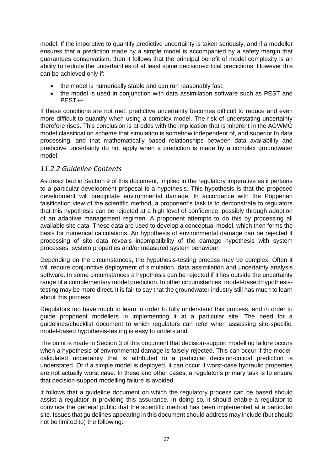model. If the imperative to quantify predictive uncertainty is taken seriously, and if a modeller ensures that a prediction made by a simple model is accompanied by a safety margin that guarantees conservatism, then it follows that the principal benefit of model complexity is an ability to reduce the uncertainties of at least some decision-critical predictions. However this can be achieved only if:

- the model is numerically stable and can run reasonably fast;
- the model is used in conjunction with data assimilation software such as PEST and PEST++.

If these conditions are not met, predictive uncertainty becomes difficult to reduce and even more difficult to quantify when using a complex model. The risk of understating uncertainty therefore rises. This conclusion is at odds with the implication that is inherent in the AGWMG model classification scheme that simulation is somehow independent of, and superior to data processing, and that mathematically based relationships between data availability and predictive uncertainty do not apply when a prediction is made by a complex groundwater model.

#### <span id="page-32-0"></span>*11.2.2 Guideline Contents*

As described in Section 9 of this document, implied in the regulatory imperative as it pertains to a particular development proposal is a hypothesis. This hypothesis is that the proposed development will precipitate environmental damage. In accordance with the Popperian falsification view of the scientific method, a proponent's task is to demonstrate to regulators that this hypothesis can be rejected at a high level of confidence, possibly through adoption of an adaptive management regimen. A proponent attempts to do this by processing all available site data. These data are used to develop a conceptual model, which then forms the basis for numerical calculations. An hypothesis of environmental damage can be rejected if processing of site data reveals incompatibility of the damage hypothesis with system processes, system properties and/or measured system behaviour.

Depending on the circumstances, the hypothesis-testing process may be complex. Often it will require conjunctive deployment of simulation, data assimilation and uncertainty analysis software. In some circumstances a hypothesis can be rejected if it lies outside the uncertainty range of a complementary model prediction. In other circumstances, model-based hypothesistesting may be more direct. It is fair to say that the groundwater industry still has much to learn about this process.

Regulators too have much to learn in order to fully understand this process, and in order to guide proponent modellers in implementing it at a particular site. The need for a guidelines/checklist document to which regulators can refer when assessing site-specific, model-based hypothesis-testing is easy to understand.

The point is made in Section 3 of this document that decision-support modelling failure occurs when a hypothesis of environmental damage is falsely rejected. This can occur if the modelcalculated uncertainty that is attributed to a particular decision-critical prediction is understated. Or if a simple model is deployed, it can occur if worst-case hydraulic properties are not actually worst case. In these and other cases, a regulator's primary task is to ensure that decision-support modelling failure is avoided.

It follows that a guideline document on which the regulatory process can be based should assist a regulator in providing this assurance. In doing so, it should enable a regulator to convince the general public that the scientific method has been implemented at a particular site. Issues that guidelines appearing in this document should address may include (but should not be limited to) the following: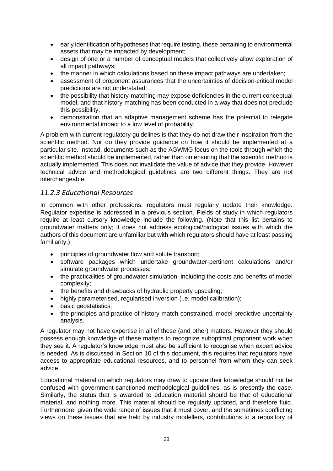- early identification of hypotheses that require testing, these pertaining to environmental assets that may be impacted by development;
- design of one or a number of conceptual models that collectively allow exploration of all impact pathways;
- the manner in which calculations based on these impact pathways are undertaken;
- assessment of proponent assurances that the uncertainties of decision-critical model predictions are not understated;
- the possibility that history-matching may expose deficiencies in the current conceptual model, and that history-matching has been conducted in a way that does not preclude this possibility;
- demonstration that an adaptive management scheme has the potential to relegate environmental impact to a low level of probability.

A problem with current regulatory guidelines is that they do not draw their inspiration from the scientific method. Nor do they provide guidance on how it should be implemented at a particular site. Instead, documents such as the AGWMG focus on the tools through which the scientific method should be implemented, rather than on ensuring that the scientific method is actually implemented. This does not invalidate the value of advice that they provide. However technical advice and methodological guidelines are two different things. They are not interchangeable.

#### <span id="page-33-0"></span>*11.2.3 Educational Resources*

In common with other professions, regulators must regularly update their knowledge. Regulator expertise is addressed in a previous section. Fields of study in which regulators require at least cursory knowledge include the following. (Note that this list pertains to groundwater matters only; it does not address ecological/biological issues with which the authors of this document are unfamiliar but with which regulators should have at least passing familiarity.)

- principles of groundwater flow and solute transport;
- software packages which undertake groundwater-pertinent calculations and/or simulate groundwater processes;
- the practicalities of groundwater simulation, including the costs and benefits of model complexity;
- the benefits and drawbacks of hydraulic property upscaling;
- highly parameterised, regularised inversion (i.e. model calibration);
- basic geostatistics:
- the principles and practice of history-match-constrained, model predictive uncertainty analysis.

A regulator may not have expertise in all of these (and other) matters. However they should possess enough knowledge of these matters to recognize suboptimal proponent work when they see it. A regulator's knowledge must also be sufficient to recognise when expert advice is needed. As is discussed in Section 10 of this document, this requires that regulators have access to appropriate educational resources, and to personnel from whom they can seek advice.

Educational material on which regulators may draw to update their knowledge should not be confused with government-sanctioned methodological guidelines, as is presently the case. Similarly, the status that is awarded to education material should be that of educational material, and nothing more. This material should be regularly updated, and therefore fluid. Furthermore, given the wide range of issues that it must cover, and the sometimes conflicting views on these issues that are held by industry modellers, contributions to a repository of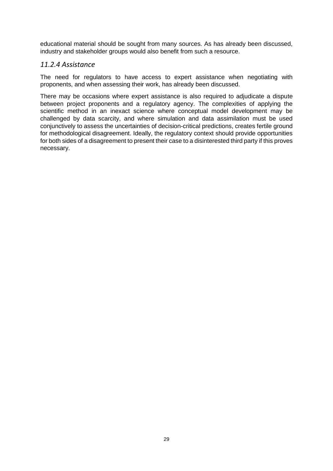educational material should be sought from many sources. As has already been discussed, industry and stakeholder groups would also benefit from such a resource.

#### <span id="page-34-0"></span>*11.2.4 Assistance*

The need for regulators to have access to expert assistance when negotiating with proponents, and when assessing their work, has already been discussed.

There may be occasions where expert assistance is also required to adjudicate a dispute between project proponents and a regulatory agency. The complexities of applying the scientific method in an inexact science where conceptual model development may be challenged by data scarcity, and where simulation and data assimilation must be used conjunctively to assess the uncertainties of decision-critical predictions, creates fertile ground for methodological disagreement. Ideally, the regulatory context should provide opportunities for both sides of a disagreement to present their case to a disinterested third party if this proves necessary.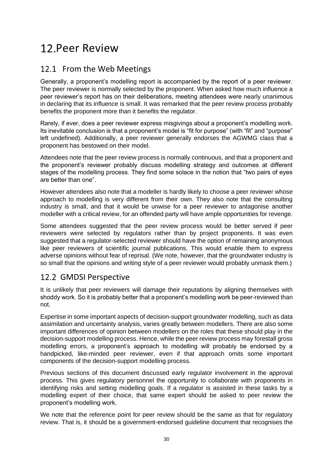### <span id="page-35-0"></span>12. Peer Review

### <span id="page-35-1"></span>12.1 From the Web Meetings

Generally, a proponent's modelling report is accompanied by the report of a peer reviewer. The peer reviewer is normally selected by the proponent. When asked how much influence a peer reviewer's report has on their deliberations, meeting attendees were nearly unanimous in declaring that its influence is small. It was remarked that the peer review process probably benefits the proponent more than it benefits the regulator.

Rarely, if ever, does a peer reviewer express misgivings about a proponent's modelling work. Its inevitable conclusion is that a proponent's model is "fit for purpose" (with "fit" and "purpose" left undefined). Additionally, a peer reviewer generally endorses the AGWMG class that a proponent has bestowed on their model.

Attendees note that the peer review process is normally continuous, and that a proponent and the proponent's reviewer probably discuss modelling strategy and outcomes at different stages of the modelling process. They find some solace in the notion that "two pairs of eyes are better than one".

However attendees also note that a modeller is hardly likely to choose a peer reviewer whose approach to modelling is very different from their own. They also note that the consulting industry is small, and that it would be unwise for a peer reviewer to antagonise another modeller with a critical review, for an offended party will have ample opportunities for revenge.

Some attendees suggested that the peer review process would be better served if peer reviewers were selected by regulators rather than by project proponents. It was even suggested that a regulator-selected reviewer should have the option of remaining anonymous like peer reviewers of scientific journal publications. This would enable them to express adverse opinions without fear of reprisal. (We note, however, that the groundwater industry is so small that the opinions and writing style of a peer reviewer would probably unmask them.)

### <span id="page-35-2"></span>12.2 GMDSI Perspective

It is unlikely that peer reviewers will damage their reputations by aligning themselves with shoddy work. So it is probably better that a proponent's modelling work be peer-reviewed than not.

Expertise in some important aspects of decision-support groundwater modelling, such as data assimilation and uncertainty analysis, varies greatly between modellers. There are also some important differences of opinion between modellers on the roles that these should play in the decision-support modelling process. Hence, while the peer review process may forestall gross modelling errors, a proponent's approach to modelling will probably be endorsed by a handpicked, like-minded peer reviewer, even if that approach omits some important components of the decision-support modelling process.

Previous sections of this document discussed early regulator involvement in the approval process. This gives regulatory personnel the opportunity to collaborate with proponents in identifying risks and setting modelling goals. If a regulator is assisted in these tasks by a modelling expert of their choice, that same expert should be asked to peer review the proponent's modelling work.

We note that the reference point for peer review should be the same as that for regulatory review. That is, it should be a government-endorsed guideline document that recognises the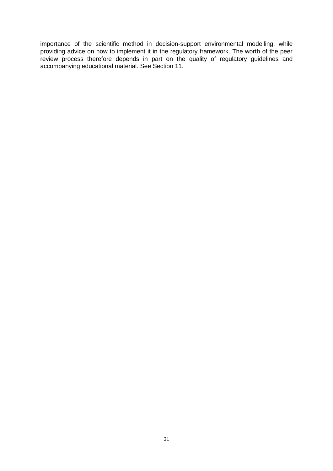importance of the scientific method in decision-support environmental modelling, while providing advice on how to implement it in the regulatory framework. The worth of the peer review process therefore depends in part on the quality of regulatory guidelines and accompanying educational material. See Section 11.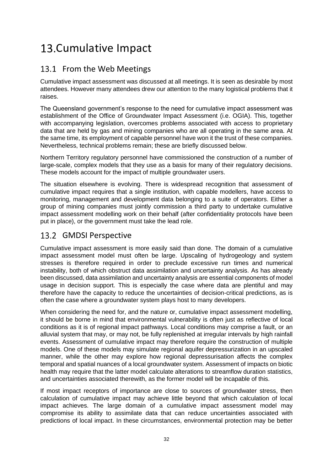### <span id="page-37-0"></span>13. Cumulative Impact

### <span id="page-37-1"></span>13.1 From the Web Meetings

Cumulative impact assessment was discussed at all meetings. It is seen as desirable by most attendees. However many attendees drew our attention to the many logistical problems that it raises.

The Queensland government's response to the need for cumulative impact assessment was establishment of the Office of Groundwater Impact Assessment (i.e. OGIA). This, together with accompanying legislation, overcomes problems associated with access to proprietary data that are held by gas and mining companies who are all operating in the same area. At the same time, its employment of capable personnel have won it the trust of these companies. Nevertheless, technical problems remain; these are briefly discussed below.

Northern Territory regulatory personnel have commissioned the construction of a number of large-scale, complex models that they use as a basis for many of their regulatory decisions. These models account for the impact of multiple groundwater users.

The situation elsewhere is evolving. There is widespread recognition that assessment of cumulative impact requires that a single institution, with capable modellers, have access to monitoring, management and development data belonging to a suite of operators. Either a group of mining companies must jointly commission a third party to undertake cumulative impact assessment modelling work on their behalf (after confidentiality protocols have been put in place), or the government must take the lead role.

### <span id="page-37-2"></span>13.2 GMDSI Perspective

Cumulative impact assessment is more easily said than done. The domain of a cumulative impact assessment model must often be large. Upscaling of hydrogeology and system stresses is therefore required in order to preclude excessive run times and numerical instability, both of which obstruct data assimilation and uncertainty analysis. As has already been discussed, data assimilation and uncertainty analysis are essential components of model usage in decision support. This is especially the case where data are plentiful and may therefore have the capacity to reduce the uncertainties of decision-critical predictions, as is often the case where a groundwater system plays host to many developers.

When considering the need for, and the nature or, cumulative impact assessment modelling, it should be borne in mind that environmental vulnerability is often just as reflective of local conditions as it is of regional impact pathways. Local conditions may comprise a fault, or an alluvial system that may, or may not, be fully replenished at irregular intervals by high rainfall events. Assessment of cumulative impact may therefore require the construction of multiple models. One of these models may simulate regional aquifer depressurization in an upscaled manner, while the other may explore how regional depressurisation affects the complex temporal and spatial nuances of a local groundwater system. Assessment of impacts on biotic health may require that the latter model calculate alterations to streamflow duration statistics, and uncertainties associated therewith, as the former model will be incapable of this.

If most impact receptors of importance are close to sources of groundwater stress, then calculation of cumulative impact may achieve little beyond that which calculation of local impact achieves. The large domain of a cumulative impact assessment model may compromise its ability to assimilate data that can reduce uncertainties associated with predictions of local impact. In these circumstances, environmental protection may be better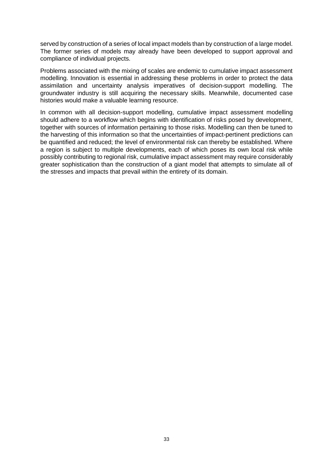served by construction of a series of local impact models than by construction of a large model. The former series of models may already have been developed to support approval and compliance of individual projects.

Problems associated with the mixing of scales are endemic to cumulative impact assessment modelling. Innovation is essential in addressing these problems in order to protect the data assimilation and uncertainty analysis imperatives of decision-support modelling. The groundwater industry is still acquiring the necessary skills. Meanwhile, documented case histories would make a valuable learning resource.

In common with all decision-support modelling, cumulative impact assessment modelling should adhere to a workflow which begins with identification of risks posed by development, together with sources of information pertaining to those risks. Modelling can then be tuned to the harvesting of this information so that the uncertainties of impact-pertinent predictions can be quantified and reduced; the level of environmental risk can thereby be established. Where a region is subject to multiple developments, each of which poses its own local risk while possibly contributing to regional risk, cumulative impact assessment may require considerably greater sophistication than the construction of a giant model that attempts to simulate all of the stresses and impacts that prevail within the entirety of its domain.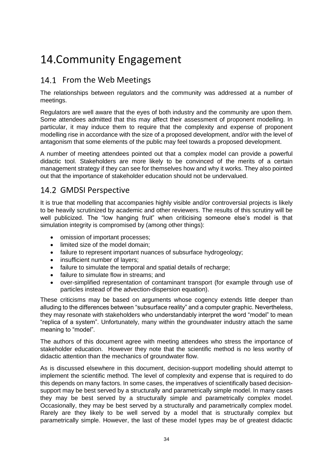### <span id="page-39-0"></span>14. Community Engagement

### <span id="page-39-1"></span>14.1 From the Web Meetings

The relationships between regulators and the community was addressed at a number of meetings.

Regulators are well aware that the eyes of both industry and the community are upon them. Some attendees admitted that this may affect their assessment of proponent modelling. In particular, it may induce them to require that the complexity and expense of proponent modelling rise in accordance with the size of a proposed development, and/or with the level of antagonism that some elements of the public may feel towards a proposed development.

A number of meeting attendees pointed out that a complex model can provide a powerful didactic tool. Stakeholders are more likely to be convinced of the merits of a certain management strategy if they can see for themselves how and why it works. They also pointed out that the importance of stakeholder education should not be undervalued.

### <span id="page-39-2"></span>14.2 GMDSI Perspective

It is true that modelling that accompanies highly visible and/or controversial projects is likely to be heavily scrutinized by academic and other reviewers. The results of this scrutiny will be well publicized. The "low hanging fruit" when criticising someone else's model is that simulation integrity is compromised by (among other things):

- omission of important processes;
- limited size of the model domain:
- failure to represent important nuances of subsurface hydrogeology;
- insufficient number of layers;
- failure to simulate the temporal and spatial details of recharge;
- failure to simulate flow in streams; and
- over-simplified representation of contaminant transport (for example through use of particles instead of the advection-dispersion equation).

These criticisms may be based on arguments whose cogency extends little deeper than alluding to the differences between "subsurface reality" and a computer graphic. Nevertheless, they may resonate with stakeholders who understandably interpret the word "model" to mean "replica of a system". Unfortunately, many within the groundwater industry attach the same meaning to "model".

The authors of this document agree with meeting attendees who stress the importance of stakeholder education. However they note that the scientific method is no less worthy of didactic attention than the mechanics of groundwater flow.

As is discussed elsewhere in this document, decision-support modelling should attempt to implement the scientific method. The level of complexity and expense that is required to do this depends on many factors. In some cases, the imperatives of scientifically based decisionsupport may be best served by a structurally and parametrically simple model. In many cases they may be best served by a structurally simple and parametrically complex model. Occasionally, they may be best served by a structurally and parametrically complex model. Rarely are they likely to be well served by a model that is structurally complex but parametrically simple. However, the last of these model types may be of greatest didactic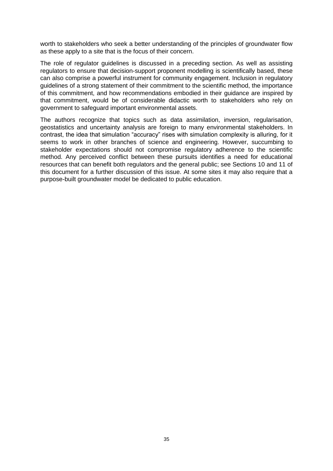worth to stakeholders who seek a better understanding of the principles of groundwater flow as these apply to a site that is the focus of their concern.

The role of regulator guidelines is discussed in a preceding section. As well as assisting regulators to ensure that decision-support proponent modelling is scientifically based, these can also comprise a powerful instrument for community engagement. Inclusion in regulatory guidelines of a strong statement of their commitment to the scientific method, the importance of this commitment, and how recommendations embodied in their guidance are inspired by that commitment, would be of considerable didactic worth to stakeholders who rely on government to safeguard important environmental assets.

The authors recognize that topics such as data assimilation, inversion, regularisation, geostatistics and uncertainty analysis are foreign to many environmental stakeholders. In contrast, the idea that simulation "accuracy" rises with simulation complexity is alluring, for it seems to work in other branches of science and engineering. However, succumbing to stakeholder expectations should not compromise regulatory adherence to the scientific method. Any perceived conflict between these pursuits identifies a need for educational resources that can benefit both regulators and the general public; see Sections 10 and 11 of this document for a further discussion of this issue. At some sites it may also require that a purpose-built groundwater model be dedicated to public education.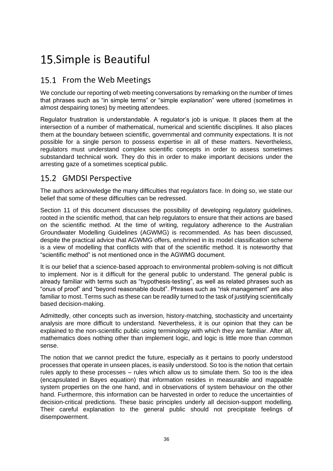### <span id="page-41-0"></span>15. Simple is Beautiful

### <span id="page-41-1"></span>15.1 From the Web Meetings

We conclude our reporting of web meeting conversations by remarking on the number of times that phrases such as "in simple terms" or "simple explanation" were uttered (sometimes in almost despairing tones) by meeting attendees.

Regulator frustration is understandable. A regulator's job is unique. It places them at the intersection of a number of mathematical, numerical and scientific disciplines. It also places them at the boundary between scientific, governmental and community expectations. It is not possible for a single person to possess expertise in all of these matters. Nevertheless, regulators must understand complex scientific concepts in order to assess sometimes substandard technical work. They do this in order to make important decisions under the arresting gaze of a sometimes sceptical public.

#### <span id="page-41-2"></span>15.2 GMDSI Perspective

The authors acknowledge the many difficulties that regulators face. In doing so, we state our belief that some of these difficulties can be redressed.

Section 11 of this document discusses the possibility of developing regulatory guidelines, rooted in the scientific method, that can help regulators to ensure that their actions are based on the scientific method. At the time of writing, regulatory adherence to the Australian Groundwater Modelling Guidelines (AGWMG) is recommended. As has been discussed, despite the practical advice that AGWMG offers, enshrined in its model classification scheme is a view of modelling that conflicts with that of the scientific method. It is noteworthy that "scientific method" is not mentioned once in the AGWMG document.

It is our belief that a science-based approach to environmental problem-solving is not difficult to implement. Nor is it difficult for the general public to understand. The general public is already familiar with terms such as "hypothesis-testing", as well as related phrases such as "onus of proof" and "beyond reasonable doubt". Phrases such as "risk management" are also familiar to most. Terms such as these can be readily turned to the task of justifying scientifically based decision-making.

Admittedly, other concepts such as inversion, history-matching, stochasticity and uncertainty analysis are more difficult to understand. Nevertheless, it is our opinion that they can be explained to the non-scientific public using terminology with which they are familiar. After all, mathematics does nothing other than implement logic, and logic is little more than common sense.

The notion that we cannot predict the future, especially as it pertains to poorly understood processes that operate in unseen places, is easily understood. So too is the notion that certain rules apply to these processes – rules which allow us to simulate them. So too is the idea (encapsulated in Bayes equation) that information resides in measurable and mappable system properties on the one hand, and in observations of system behaviour on the other hand. Furthermore, this information can be harvested in order to reduce the uncertainties of decision-critical predictions. These basic principles underly all decision-support modelling. Their careful explanation to the general public should not precipitate feelings of disempowerment.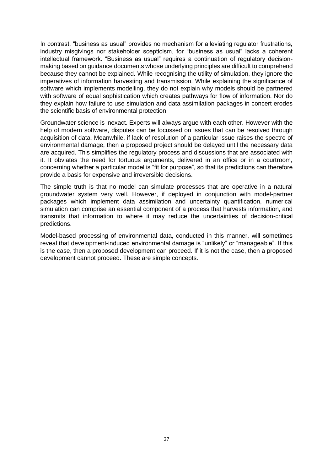In contrast, "business as usual" provides no mechanism for alleviating regulator frustrations, industry misgivings nor stakeholder scepticism, for "business as usual" lacks a coherent intellectual framework. "Business as usual" requires a continuation of regulatory decisionmaking based on guidance documents whose underlying principles are difficult to comprehend because they cannot be explained. While recognising the utility of simulation, they ignore the imperatives of information harvesting and transmission. While explaining the significance of software which implements modelling, they do not explain why models should be partnered with software of equal sophistication which creates pathways for flow of information. Nor do they explain how failure to use simulation and data assimilation packages in concert erodes the scientific basis of environmental protection.

Groundwater science is inexact. Experts will always argue with each other. However with the help of modern software, disputes can be focussed on issues that can be resolved through acquisition of data. Meanwhile, if lack of resolution of a particular issue raises the spectre of environmental damage, then a proposed project should be delayed until the necessary data are acquired. This simplifies the regulatory process and discussions that are associated with it. It obviates the need for tortuous arguments, delivered in an office or in a courtroom, concerning whether a particular model is "fit for purpose", so that its predictions can therefore provide a basis for expensive and irreversible decisions.

The simple truth is that no model can simulate processes that are operative in a natural groundwater system very well. However, if deployed in conjunction with model-partner packages which implement data assimilation and uncertainty quantification, numerical simulation can comprise an essential component of a process that harvests information, and transmits that information to where it may reduce the uncertainties of decision-critical predictions.

Model-based processing of environmental data, conducted in this manner, will sometimes reveal that development-induced environmental damage is "unlikely" or "manageable". If this is the case, then a proposed development can proceed. If it is not the case, then a proposed development cannot proceed. These are simple concepts.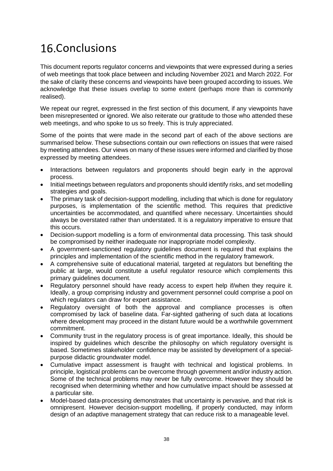### <span id="page-43-0"></span>16.Conclusions

This document reports regulator concerns and viewpoints that were expressed during a series of web meetings that took place between and including November 2021 and March 2022. For the sake of clarity these concerns and viewpoints have been grouped according to issues. We acknowledge that these issues overlap to some extent (perhaps more than is commonly realised).

We repeat our regret, expressed in the first section of this document, if any viewpoints have been misrepresented or ignored. We also reiterate our gratitude to those who attended these web meetings, and who spoke to us so freely. This is truly appreciated.

Some of the points that were made in the second part of each of the above sections are summarised below. These subsections contain our own reflections on issues that were raised by meeting attendees. Our views on many of these issues were informed and clarified by those expressed by meeting attendees.

- Interactions between regulators and proponents should begin early in the approval process.
- Initial meetings between regulators and proponents should identify risks, and set modelling strategies and goals.
- The primary task of decision-support modelling, including that which is done for regulatory purposes, is implementation of the scientific method. This requires that predictive uncertainties be accommodated, and quantified where necessary. Uncertainties should always be overstated rather than understated. It is a regulatory imperative to ensure that this occurs.
- Decision-support modelling is a form of environmental data processing. This task should be compromised by neither inadequate nor inappropriate model complexity.
- A government-sanctioned regulatory guidelines document is required that explains the principles and implementation of the scientific method in the regulatory framework.
- A comprehensive suite of educational material, targeted at regulators but benefiting the public at large, would constitute a useful regulator resource which complements this primary guidelines document.
- Regulatory personnel should have ready access to expert help if/when they require it. Ideally, a group comprising industry and government personnel could comprise a pool on which regulators can draw for expert assistance.
- Regulatory oversight of both the approval and compliance processes is often compromised by lack of baseline data. Far-sighted gathering of such data at locations where development may proceed in the distant future would be a worthwhile government commitment.
- Community trust in the regulatory process is of great importance. Ideally, this should be inspired by guidelines which describe the philosophy on which regulatory oversight is based. Sometimes stakeholder confidence may be assisted by development of a specialpurpose didactic groundwater model.
- Cumulative impact assessment is fraught with technical and logistical problems. In principle, logistical problems can be overcome through government and/or industry action. Some of the technical problems may never be fully overcome. However they should be recognised when determining whether and how cumulative impact should be assessed at a particular site.
- Model-based data-processing demonstrates that uncertainty is pervasive, and that risk is omnipresent. However decision-support modelling, if properly conducted, may inform design of an adaptive management strategy that can reduce risk to a manageable level.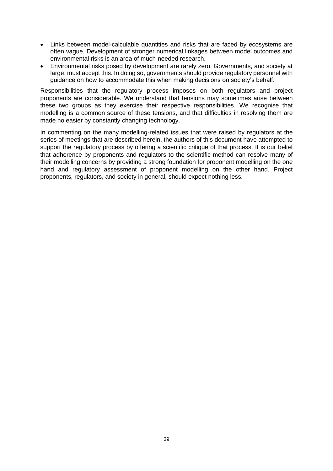- Links between model-calculable quantities and risks that are faced by ecosystems are often vague. Development of stronger numerical linkages between model outcomes and environmental risks is an area of much-needed research.
- Environmental risks posed by development are rarely zero. Governments, and society at large, must accept this. In doing so, governments should provide regulatory personnel with guidance on how to accommodate this when making decisions on society's behalf.

Responsibilities that the regulatory process imposes on both regulators and project proponents are considerable. We understand that tensions may sometimes arise between these two groups as they exercise their respective responsibilities. We recognise that modelling is a common source of these tensions, and that difficulties in resolving them are made no easier by constantly changing technology.

In commenting on the many modelling-related issues that were raised by regulators at the series of meetings that are described herein, the authors of this document have attempted to support the regulatory process by offering a scientific critique of that process. It is our belief that adherence by proponents and regulators to the scientific method can resolve many of their modelling concerns by providing a strong foundation for proponent modelling on the one hand and regulatory assessment of proponent modelling on the other hand. Project proponents, regulators, and society in general, should expect nothing less.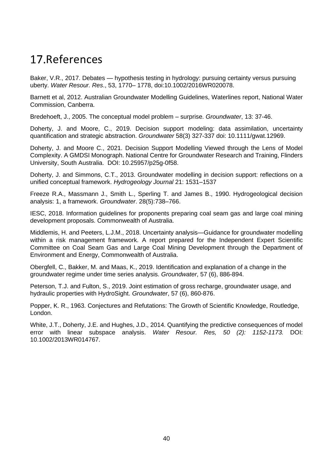### <span id="page-45-0"></span>17 References

Baker, V.R., 2017. Debates — hypothesis testing in hydrology: pursuing certainty versus pursuing uberty. *Water Resour. Res*., 53, 1770– 1778, doi:10.1002/2016WR020078.

Barnett et al, 2012. Australian Groundwater Modelling Guidelines, Waterlines report, National Water Commission, Canberra.

Bredehoeft, J., 2005. The conceptual model problem – surprise. *Groundwater*, 13: 37-46.

Doherty, J. and Moore, C., 2019. Decision support modeling: data assimilation, uncertainty quantification and strategic abstraction. *Groundwater* 58(3) 327-337 doi: 10.1111/gwat.12969.

Doherty, J. and Moore C., 2021. Decision Support Modelling Viewed through the Lens of Model Complexity. A GMDSI Monograph. National Centre for Groundwater Research and Training, Flinders University, South Australia. DOI: 10.25957/p25g-0f58.

Doherty, J. and Simmons, C.T., 2013. Groundwater modelling in decision support: reflections on a unified conceptual framework. *Hydrogeology Journal* 21: 1531–1537

Freeze R.A., Massmann J., Smith L., Sperling T. and James B., 1990. Hydrogeological decision analysis: 1, a framework. *Groundwater*. 28(5):738–766.

IESC, 2018. Information guidelines for proponents preparing coal seam gas and large coal mining development proposals. Commonwealth of Australia.

Middlemis, H. and Peeters, L.J.M., 2018. Uncertainty analysis—Guidance for groundwater modelling within a risk management framework. A report prepared for the Independent Expert Scientific Committee on Coal Seam Gas and Large Coal Mining Development through the Department of Environment and Energy, Commonwealth of Australia.

Obergfell, C., Bakker, M. and Maas, K., 2019. Identification and explanation of a change in the groundwater regime under time series analysis. *Groundwater*, 57 (6), 886-894.

Peterson, T.J. and Fulton, S., 2019. Joint estimation of gross recharge, groundwater usage, and hydraulic properties with HydroSight. *Groundwater*, 57 (6), 860-876.

Popper, K. R., 1963. Conjectures and Refutations: The Growth of Scientific Knowledge, Routledge, London.

White, J.T., Doherty, J.E. and Hughes, J.D., 2014. Quantifying the predictive consequences of model error with linear subspace analysis. *Water Resour. Res, 50 (2): 1152-1173.* DOI: 10.1002/2013WR014767.